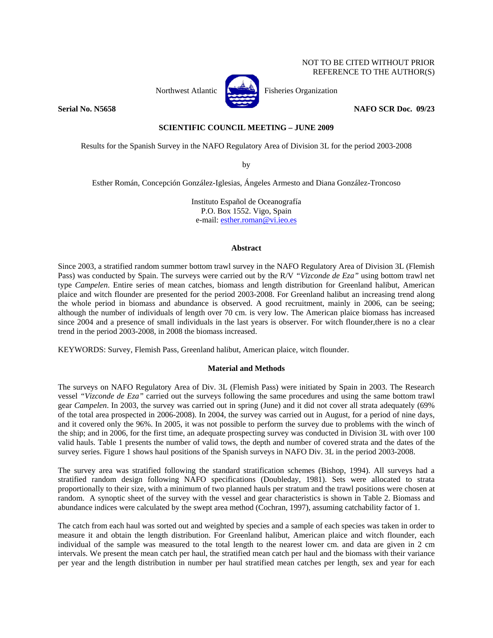## NOT TO BE CITED WITHOUT PRIOR REFERENCE TO THE AUTHOR(S)



Northwest Atlantic  $\begin{bmatrix} 1 & 1 \\ 1 & 1 \end{bmatrix}$  Fisheries Organization

**Serial No. N5658** NAFO SCR Doc. 09/23

# **SCIENTIFIC COUNCIL MEETING – JUNE 2009**

Results for the Spanish Survey in the NAFO Regulatory Area of Division 3L for the period 2003-2008

by

Esther Román, Concepción González-Iglesias, Ángeles Armesto and Diana González-Troncoso

Instituto Español de Oceanografía P.O. Box 1552. Vigo, Spain e-mail: esther.roman@vi.ieo.es

### **Abstract**

Since 2003, a stratified random summer bottom trawl survey in the NAFO Regulatory Area of Division 3L (Flemish Pass) was conducted by Spain. The surveys were carried out by the R/V *"Vizconde de Eza"* using bottom trawl net type *Campelen*. Entire series of mean catches, biomass and length distribution for Greenland halibut, American plaice and witch flounder are presented for the period 2003-2008. For Greenland halibut an increasing trend along the whole period in biomass and abundance is observed. A good recruitment, mainly in 2006, can be seeing; although the number of individuals of length over 70 cm. is very low. The American plaice biomass has increased since 2004 and a presence of small individuals in the last years is observer. For witch flounder,there is no a clear trend in the period 2003-2008, in 2008 the biomass increased.

KEYWORDS: Survey, Flemish Pass, Greenland halibut, American plaice, witch flounder.

# **Material and Methods**

The surveys on NAFO Regulatory Area of Div. 3L (Flemish Pass) were initiated by Spain in 2003. The Research vessel *"Vizconde de Eza"* carried out the surveys following the same procedures and using the same bottom trawl gear *Campelen*. In 2003, the survey was carried out in spring (June) and it did not cover all strata adequately (69% of the total area prospected in 2006-2008). In 2004, the survey was carried out in August, for a period of nine days, and it covered only the 96%. In 2005, it was not possible to perform the survey due to problems with the winch of the ship; and in 2006, for the first time, an adequate prospecting survey was conducted in Division 3L with over 100 valid hauls. Table 1 presents the number of valid tows, the depth and number of covered strata and the dates of the survey series. Figure 1 shows haul positions of the Spanish surveys in NAFO Div. 3L in the period 2003-2008.

The survey area was stratified following the standard stratification schemes (Bishop, 1994). All surveys had a stratified random design following NAFO specifications (Doubleday, 1981). Sets were allocated to strata proportionally to their size, with a minimum of two planned hauls per stratum and the trawl positions were chosen at random. A synoptic sheet of the survey with the vessel and gear characteristics is shown in Table 2. Biomass and abundance indices were calculated by the swept area method (Cochran, 1997), assuming catchability factor of 1.

The catch from each haul was sorted out and weighted by species and a sample of each species was taken in order to measure it and obtain the length distribution. For Greenland halibut, American plaice and witch flounder, each individual of the sample was measured to the total length to the nearest lower cm. and data are given in 2 cm intervals. We present the mean catch per haul, the stratified mean catch per haul and the biomass with their variance per year and the length distribution in number per haul stratified mean catches per length, sex and year for each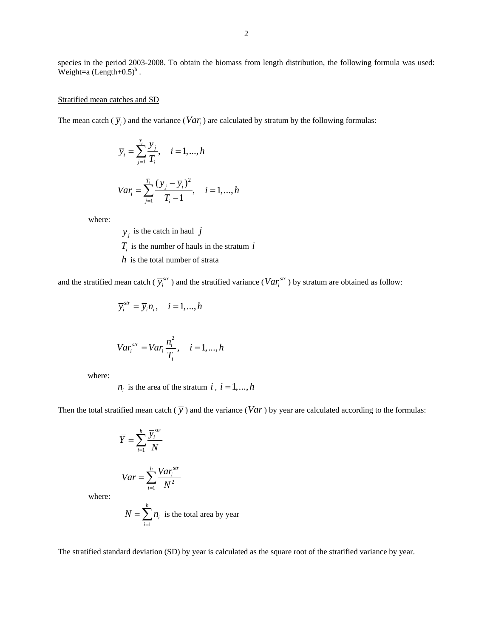species in the period 2003-2008. To obtain the biomass from length distribution, the following formula was used: Weight=a  $(Length+0.5)^b$ .

### Stratified mean catches and SD

The mean catch  $(\overline{y}_i)$  and the variance  $(Var_i)$  are calculated by stratum by the following formulas:

$$
\overline{y}_i = \sum_{j=1}^{T_i} \frac{y_j}{T_i}, \quad i = 1, ..., h
$$
  

$$
Var_i = \sum_{j=1}^{T_i} \frac{(y_j - \overline{y}_i)^2}{T_i - 1}, \quad i = 1, ..., h
$$

where:

 $y_i$  is the catch in haul *j*  $T_i$  is the number of hauls in the stratum  $i$ *h* is the total number of strata

and the stratified mean catch ( $\overline{y}_i^{str}$ ) and the stratified variance ( $Var_i^{str}$ ) by stratum are obtained as follow:

$$
\overline{y}_i^{str} = \overline{y}_i n_i, \quad i = 1, ..., h
$$

$$
Var_i^{str} = Var_i \frac{n_i^2}{T_i}, \quad i = 1, \dots, h
$$

where:

 $n_i$  is the area of the stratum *i*,  $i = 1, ..., h$ 

Then the total stratified mean catch  $(\overline{y})$  and the variance  $(Var)$  by year are calculated according to the formulas:

$$
\overline{Y} = \sum_{i=1}^{h} \frac{\overline{y}_i^{str}}{N}
$$

$$
Var = \sum_{i=1}^{h} \frac{Var_i^{str}}{N^2}
$$

where:

$$
N = \sum_{i=1}^{h} n_i
$$
 is the total area by year

The stratified standard deviation (SD) by year is calculated as the square root of the stratified variance by year.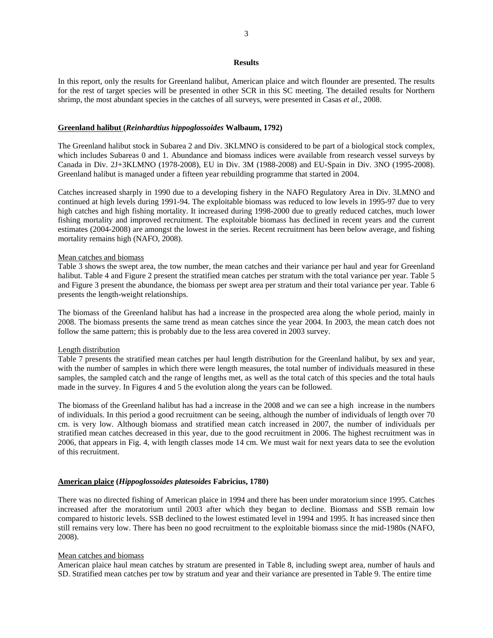### **Results**

In this report, only the results for Greenland halibut, American plaice and witch flounder are presented. The results for the rest of target species will be presented in other SCR in this SC meeting. The detailed results for Northern shrimp, the most abundant species in the catches of all surveys, were presented in Casas *et al*., 2008.

### **Greenland halibut (***Reinhardtius hippoglossoides* **Walbaum, 1792)**

The Greenland halibut stock in Subarea 2 and Div. 3KLMNO is considered to be part of a biological stock complex, which includes Subareas 0 and 1. Abundance and biomass indices were available from research vessel surveys by Canada in Div. 2J+3KLMNO (1978-2008), EU in Div. 3M (1988-2008) and EU-Spain in Div. 3NO (1995-2008). Greenland halibut is managed under a fifteen year rebuilding programme that started in 2004.

Catches increased sharply in 1990 due to a developing fishery in the NAFO Regulatory Area in Div. 3LMNO and continued at high levels during 1991-94. The exploitable biomass was reduced to low levels in 1995-97 due to very high catches and high fishing mortality. It increased during 1998-2000 due to greatly reduced catches, much lower fishing mortality and improved recruitment. The exploitable biomass has declined in recent years and the current estimates (2004-2008) are amongst the lowest in the series. Recent recruitment has been below average, and fishing mortality remains high (NAFO, 2008).

#### Mean catches and biomass

Table 3 shows the swept area, the tow number, the mean catches and their variance per haul and year for Greenland halibut. Table 4 and Figure 2 present the stratified mean catches per stratum with the total variance per year. Table 5 and Figure 3 present the abundance, the biomass per swept area per stratum and their total variance per year. Table 6 presents the length-weight relationships.

The biomass of the Greenland halibut has had a increase in the prospected area along the whole period, mainly in 2008. The biomass presents the same trend as mean catches since the year 2004. In 2003, the mean catch does not follow the same pattern; this is probably due to the less area covered in 2003 survey.

#### Length distribution

Table 7 presents the stratified mean catches per haul length distribution for the Greenland halibut, by sex and year, with the number of samples in which there were length measures, the total number of individuals measured in these samples, the sampled catch and the range of lengths met, as well as the total catch of this species and the total hauls made in the survey. In Figures 4 and 5 the evolution along the years can be followed.

The biomass of the Greenland halibut has had a increase in the 2008 and we can see a high increase in the numbers of individuals. In this period a good recruitment can be seeing, although the number of individuals of length over 70 cm. is very low. Although biomass and stratified mean catch increased in 2007, the number of individuals per stratified mean catches decreased in this year, due to the good recruitment in 2006. The highest recruitment was in 2006, that appears in Fig. 4, with length classes mode 14 cm. We must wait for next years data to see the evolution of this recruitment.

#### **American plaice (***Hippoglossoides platesoides* **Fabricius, 1780)**

There was no directed fishing of American plaice in 1994 and there has been under moratorium since 1995. Catches increased after the moratorium until 2003 after which they began to decline. Biomass and SSB remain low compared to historic levels. SSB declined to the lowest estimated level in 1994 and 1995. It has increased since then still remains very low. There has been no good recruitment to the exploitable biomass since the mid-1980s (NAFO, 2008).

## Mean catches and biomass

American plaice haul mean catches by stratum are presented in Table 8, including swept area, number of hauls and SD. Stratified mean catches per tow by stratum and year and their variance are presented in Table 9. The entire time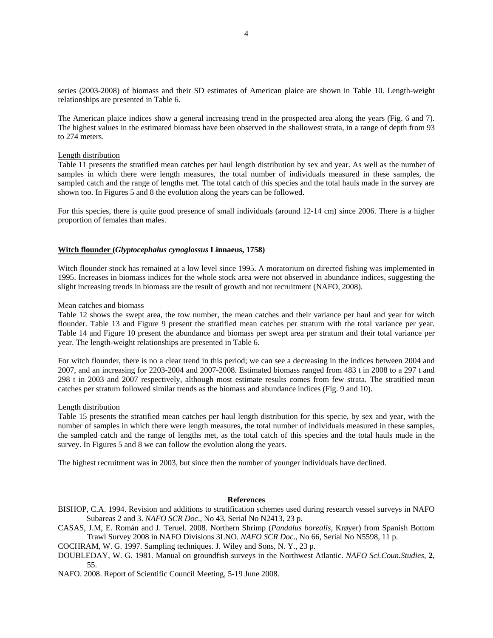series (2003-2008) of biomass and their SD estimates of American plaice are shown in Table 10. Length-weight relationships are presented in Table 6.

The American plaice indices show a general increasing trend in the prospected area along the years (Fig. 6 and 7). The highest values in the estimated biomass have been observed in the shallowest strata, in a range of depth from 93 to 274 meters.

#### Length distribution

Table 11 presents the stratified mean catches per haul length distribution by sex and year. As well as the number of samples in which there were length measures, the total number of individuals measured in these samples, the sampled catch and the range of lengths met. The total catch of this species and the total hauls made in the survey are shown too. In Figures 5 and 8 the evolution along the years can be followed.

For this species, there is quite good presence of small individuals (around 12-14 cm) since 2006. There is a higher proportion of females than males.

#### **Witch flounder (***Glyptocephalus cynoglossus* **Linnaeus, 1758)**

Witch flounder stock has remained at a low level since 1995. A moratorium on directed fishing was implemented in 1995. Increases in biomass indices for the whole stock area were not observed in abundance indices, suggesting the slight increasing trends in biomass are the result of growth and not recruitment (NAFO, 2008).

#### Mean catches and biomass

Table 12 shows the swept area, the tow number, the mean catches and their variance per haul and year for witch flounder. Table 13 and Figure 9 present the stratified mean catches per stratum with the total variance per year. Table 14 and Figure 10 present the abundance and biomass per swept area per stratum and their total variance per year. The length-weight relationships are presented in Table 6.

For witch flounder, there is no a clear trend in this period; we can see a decreasing in the indices between 2004 and 2007, and an increasing for 2203-2004 and 2007-2008. Estimated biomass ranged from 483 t in 2008 to a 297 t and 298 t in 2003 and 2007 respectively, although most estimate results comes from few strata. The stratified mean catches per stratum followed similar trends as the biomass and abundance indices (Fig. 9 and 10).

#### Length distribution

Table 15 presents the stratified mean catches per haul length distribution for this specie, by sex and year, with the number of samples in which there were length measures, the total number of individuals measured in these samples, the sampled catch and the range of lengths met, as the total catch of this species and the total hauls made in the survey. In Figures 5 and 8 we can follow the evolution along the years.

The highest recruitment was in 2003, but since then the number of younger individuals have declined.

# **References**

- BISHOP, C.A. 1994. Revision and additions to stratification schemes used during research vessel surveys in NAFO Subareas 2 and 3. *NAFO SCR Doc*., No 43, Serial No N2413, 23 p.
- CASAS, J.M, E. Román and J. Teruel. 2008. Northern Shrimp (*Pandalus borealis*, Krøyer) from Spanish Bottom Trawl Survey 2008 in NAFO Divisions 3LNO. *NAFO SCR Doc*., No 66, Serial No N5598, 11 p.
- COCHRAM, W. G. 1997. Sampling techniques. J. Wiley and Sons, N. Y., 23 p.
- DOUBLEDAY, W. G. 1981. Manual on groundfish surveys in the Northwest Atlantic. *NAFO Sci.Coun.Studies*, **2**, 55.
- NAFO. 2008. Report of Scientific Council Meeting, 5-19 June 2008.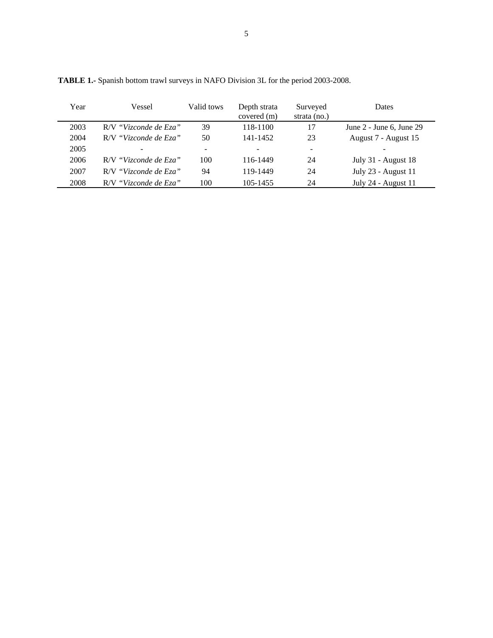| Year | Vessel                | Valid tows               | Depth strata<br>covered (m) | Surveyed<br>strata $(no.)$ | Dates                        |
|------|-----------------------|--------------------------|-----------------------------|----------------------------|------------------------------|
| 2003 | R/V "Vizconde de Eza" | 39                       | 118-1100                    | 17                         | June $2$ - June 6, June $29$ |
| 2004 | R/V "Vizconde de Eza" | 50                       | 141-1452                    | 23                         | August 7 - August 15         |
| 2005 |                       | $\overline{\phantom{0}}$ |                             | ۰                          |                              |
| 2006 | R/V "Vizconde de Eza" | 100                      | 116-1449                    | 24                         | July 31 - August 18          |
| 2007 | R/V "Vizconde de Eza" | 94                       | 119-1449                    | 24                         | July 23 - August 11          |
| 2008 | R/V "Vizconde de Eza" | 100                      | 105-1455                    | 24                         | July 24 - August 11          |

**TABLE 1.-** Spanish bottom trawl surveys in NAFO Division 3L for the period 2003-2008.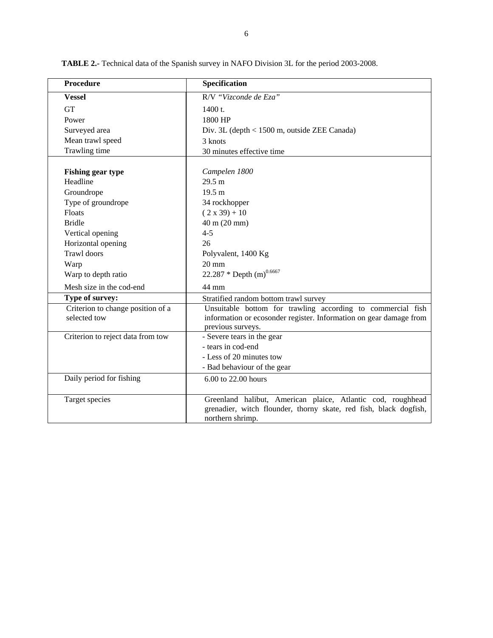| <b>Procedure</b>                                  | Specification                                                                                                                                          |
|---------------------------------------------------|--------------------------------------------------------------------------------------------------------------------------------------------------------|
| <b>Vessel</b>                                     | R/V "Vizconde de Eza"                                                                                                                                  |
| <b>GT</b>                                         | 1400 t.                                                                                                                                                |
| Power                                             | 1800 HP                                                                                                                                                |
| Surveyed area                                     | Div. 3L (depth < 1500 m, outside ZEE Canada)                                                                                                           |
| Mean trawl speed                                  | 3 knots                                                                                                                                                |
| Trawling time                                     | 30 minutes effective time                                                                                                                              |
| <b>Fishing gear type</b><br>Headline              | Campelen 1800<br>29.5 m                                                                                                                                |
| Groundrope                                        | 19.5 m                                                                                                                                                 |
| Type of groundrope                                | 34 rockhopper                                                                                                                                          |
| Floats                                            | $(2 x 39) + 10$                                                                                                                                        |
| <b>Bridle</b>                                     | 40 m (20 mm)                                                                                                                                           |
| Vertical opening                                  | $4 - 5$                                                                                                                                                |
| Horizontal opening                                | 26                                                                                                                                                     |
| <b>Trawl</b> doors                                | Polyvalent, 1400 Kg                                                                                                                                    |
| Warp                                              | $20 \text{ mm}$                                                                                                                                        |
| Warp to depth ratio                               | 22.287 * Depth $(m)^{0.6667}$                                                                                                                          |
| Mesh size in the cod-end                          | 44 mm                                                                                                                                                  |
| Type of survey:                                   | Stratified random bottom trawl survey                                                                                                                  |
| Criterion to change position of a<br>selected tow | Unsuitable bottom for trawling according to commercial fish<br>information or ecosonder register. Information on gear damage from<br>previous surveys. |
| Criterion to reject data from tow                 | - Severe tears in the gear                                                                                                                             |
|                                                   | - tears in cod-end                                                                                                                                     |
|                                                   | - Less of 20 minutes tow                                                                                                                               |
|                                                   | - Bad behaviour of the gear                                                                                                                            |
| Daily period for fishing                          | 6.00 to 22.00 hours                                                                                                                                    |
| Target species                                    | Greenland halibut, American plaice, Atlantic cod, roughhead<br>grenadier, witch flounder, thorny skate, red fish, black dogfish,<br>northern shrimp.   |

**TABLE 2.-** Technical data of the Spanish survey in NAFO Division 3L for the period 2003-2008.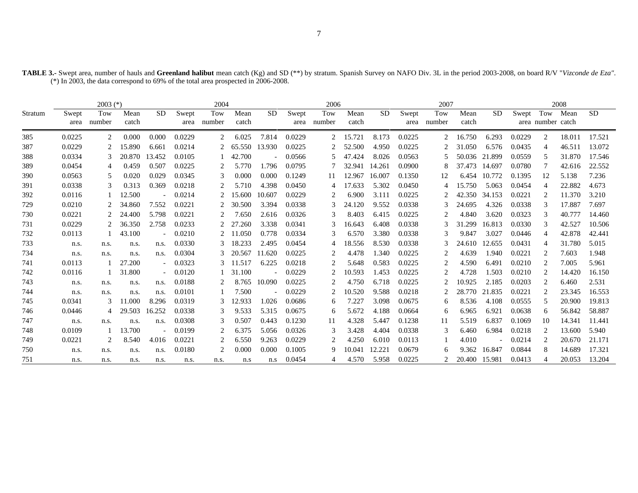|         |        | $2003$ (*) |        |                          |        | 2004   |        |           |        | 2006          |        |           |        | 2007   |        |              |        |                             | 2008   |        |
|---------|--------|------------|--------|--------------------------|--------|--------|--------|-----------|--------|---------------|--------|-----------|--------|--------|--------|--------------|--------|-----------------------------|--------|--------|
| Stratum | Swept  | Tow        | Mean   | SD.                      | Swept  | Tow    | Mean   | <b>SD</b> | Swept  | Tow           | Mean   | <b>SD</b> | Swept  | Tow    | Mean   | <b>SD</b>    | Swept  | Tow                         | Mean   | SD.    |
|         | area   | number     | catch  |                          | area   | number | catch  |           | area   | number        | catch  |           | area   | number | catch  |              |        | area number catch           |        |        |
| 385     | 0.0225 | 2          | 0.000  | 0.000                    | 0.0229 | 2      | 6.025  | 7.814     | 0.0229 | 2             | 15.721 | 8.173     | 0.0225 | 2      | 16.750 | 6.293        | 0.0229 | $\overline{c}$              | 18.011 | 17.521 |
| 387     | 0.0229 |            | 15.890 | 6.661                    | 0.0214 |        | 65.550 | 13.930    | 0.0225 | 2             | 52.500 | 4.950     | 0.0225 |        | 31.050 | 6.576        | 0.0435 | 4                           | 46.511 | 13.072 |
| 388     | 0.0334 |            | 20.870 | 13.452                   | 0.0105 |        | 42.700 |           | 0.0566 | 5             | 47.424 | 8.026     | 0.0563 |        | 50.036 | 21.899       | 0.0559 | .5                          | 31.870 | 17.546 |
| 389     | 0.0454 | 4          | 0.459  | 0.507                    | 0.0225 | 2      | 5.770  | 1.796     | 0.0795 |               | 32.941 | 14.261    | 0.0900 | 8      | 37.473 | 14.697       | 0.0780 | 7                           | 42.616 | 22.552 |
| 390     | 0.0563 | 5          | 0.020  | 0.029                    | 0.0345 | 3      | 0.000  | 0.000     | 0.1249 | -11           | 12.967 | 16.007    | 0.1350 | 12     |        | 6.454 10.772 | 0.1395 | 12                          | 5.138  | 7.236  |
| 391     | 0.0338 | 3          | 0.313  | 0.369                    | 0.0218 |        | 5.710  | 4.398     | 0.0450 |               | 17.633 | 5.302     | 0.0450 |        | 15.750 | 5.063        | 0.0454 | 4                           | 22.882 | 4.673  |
| 392     | 0.0116 |            | 12.500 |                          | 0.0214 |        | 15.600 | 10.607    | 0.0229 | 2             | 6.900  | 3.111     | 0.0225 |        | 42.350 | 34.153       | 0.0221 | 2                           | 11.370 | 3.210  |
| 729     | 0.0210 | 2          | 34.860 | 7.552                    | 0.0221 | 2      | 30.500 | 3.394     | 0.0338 | 3             | 24.120 | 9.552     | 0.0338 | 3      | 24.695 | 4.326        | 0.0338 | 3                           | 17.887 | 7.697  |
| 730     | 0.0221 |            | 24.400 | 5.798                    | 0.0221 |        | 7.650  | 2.616     | 0.0326 | $\mathcal{R}$ | 8.403  | 6.415     | 0.0225 | 2      | 4.840  | 3.620        | 0.0323 | $\mathcal{R}$               | 40.777 | 14.460 |
| 731     | 0.0229 |            | 36.350 | 2.758                    | 0.0233 |        | 27.260 | 3.338     | 0.0341 | 3             | 16.643 | 6.408     | 0.0338 |        | 31.299 | 16.813       | 0.0330 | $\mathcal{R}$               | 42.527 | 10.506 |
| 732     | 0.0113 |            | 43.100 |                          | 0.0210 |        | 11.050 | 0.778     | 0.0334 | 3             | 6.570  | 3.380     | 0.0338 | 3      | 9.847  | 3.027        | 0.0446 | 4                           | 42.878 | 42.441 |
| 733     | n.s.   | n.s.       | n.s.   | n.s.                     | 0.0330 | 3      | 18.233 | 2.495     | 0.0454 | 4             | 18.556 | 8.530     | 0.0338 |        | 24.610 | 12.655       | 0.0431 | $\overline{4}$              | 31.780 | 5.015  |
| 734     | n.s.   | n.s.       | n.s.   | n.s.                     | 0.0304 |        | 20.567 | 11.620    | 0.0225 | 2             | 4.478  | 1.340     | 0.0225 | 2      | 4.639  | 1.940        | 0.0221 | $\overline{c}$              | 7.603  | 1.948  |
| 741     | 0.0113 |            | 27.200 | $ \,$                    | 0.0323 |        | 11.517 | 6.225     | 0.0218 | 2             | 5.648  | 0.583     | 0.0225 | 2      | 4.590  | 6.491        | 0.0210 | $\mathcal{D}_{\mathcal{L}}$ | 7.005  | 5.961  |
| 742     | 0.0116 |            | 31.800 | $\overline{\phantom{a}}$ | 0.0120 |        | 31.100 |           | 0.0229 |               | 10.593 | 1.453     | 0.0225 | 2      | 4.728  | 1.503        | 0.0210 | $\mathcal{D}_{\mathcal{L}}$ | 14.420 | 16.150 |
| 743     | n.s.   | n.s.       | n.s.   | n.s.                     | 0.0188 |        | 8.765  | 10.090    | 0.0225 | 2             | 4.750  | 6.718     | 0.0225 |        | 10.925 | 2.185        | 0.0203 | 2                           | 6.460  | 2.531  |
| 744     | n.s.   | n.s.       | n.s.   | n.s.                     | 0.0101 |        | 7.500  |           | 0.0229 | 2             | 10.520 | 9.588     | 0.0218 |        | 28.770 | 21.835       | 0.0221 | $\mathcal{D}_{\mathcal{L}}$ | 23.345 | 16.553 |
| 745     | 0.0341 | 3          | 11.000 | 8.296                    | 0.0319 |        | 12.933 | 1.026     | 0.0686 | 6             | 7.227  | 3.098     | 0.0675 | 6      | 8.536  | 4.108        | 0.0555 | 5                           | 20.900 | 19.813 |
| 746     | 0.0446 | 4          | 29.503 | 16.252                   | 0.0338 | 3      | 9.533  | 5.315     | 0.0675 | 6             | 5.672  | 4.188     | 0.0664 | 6      | 6.965  | 6.921        | 0.0638 | 6                           | 56.842 | 58.887 |
| 747     | n.s.   | n.s.       | n.s.   | n.s.                     | 0.0308 | 3      | 0.507  | 0.443     | 0.1230 | 11            | 4.328  | 5.447     | 0.1238 | 11     | 5.519  | 6.837        | 0.1069 | 10                          | 14.341 | 11.441 |
| 748     | 0.0109 | -1         | 13.700 | $\overline{\phantom{a}}$ | 0.0199 | 2      | 6.375  | 5.056     | 0.0326 | 3             | 3.428  | 4.404     | 0.0338 | 3      | 6.460  | 6.984        | 0.0218 | $\overline{c}$              | 13.600 | 5.940  |
| 749     | 0.0221 | 2          | 8.540  | 4.016                    | 0.0221 | 2      | 6.550  | 9.263     | 0.0229 | 2             | 4.250  | 6.010     | 0.0113 |        | 4.010  |              | 0.0214 | $\overline{c}$              | 20.670 | 21.171 |
| 750     | n.s.   | n.s.       | n.s.   | n.s.                     | 0.0180 |        | 0.000  | 0.000     | 0.1005 | 9             | 10.041 | 12.221    | 0.0679 | 6      | 9.362  | 16.847       | 0.0844 | 8                           | 14.689 | 17.321 |
| 751     | n.s.   | n.s.       | n.s.   | n.s.                     | n.s.   | n.s.   | n.s    | n.s       | 0.0454 | 4             | 4.570  | 5.958     | 0.0225 |        | 20.400 | 15.981       | 0.0413 | Δ                           | 20.053 | 13.204 |

**TABLE 3.-** Swept area, number of hauls and **Greenland halibut** mean catch (Kg) and SD (\*\*) by stratum. Spanish Survey on NAFO Div. 3L in the period 2003-2008, on board R/V "*Vizconde de Eza"*. (\*) In 2003, the data correspond to 69% of the total area prospected in 2006-2008.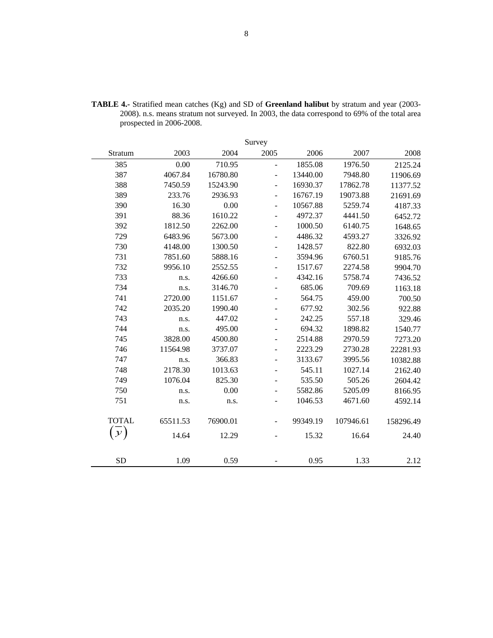|               |          |          | Survey                   |          |           |           |
|---------------|----------|----------|--------------------------|----------|-----------|-----------|
| Stratum       | 2003     | 2004     | 2005                     | 2006     | 2007      | 2008      |
| 385           | 0.00     | 710.95   | $\overline{a}$           | 1855.08  | 1976.50   | 2125.24   |
| 387           | 4067.84  | 16780.80 | ÷,                       | 13440.00 | 7948.80   | 11906.69  |
| 388           | 7450.59  | 15243.90 | $\overline{\phantom{a}}$ | 16930.37 | 17862.78  | 11377.52  |
| 389           | 233.76   | 2936.93  | $\overline{\phantom{0}}$ | 16767.19 | 19073.88  | 21691.69  |
| 390           | 16.30    | 0.00     | $\overline{\phantom{0}}$ | 10567.88 | 5259.74   | 4187.33   |
| 391           | 88.36    | 1610.22  | $\overline{\phantom{0}}$ | 4972.37  | 4441.50   | 6452.72   |
| 392           | 1812.50  | 2262.00  |                          | 1000.50  | 6140.75   | 1648.65   |
| 729           | 6483.96  | 5673.00  | $\overline{\phantom{0}}$ | 4486.32  | 4593.27   | 3326.92   |
| 730           | 4148.00  | 1300.50  | -                        | 1428.57  | 822.80    | 6932.03   |
| 731           | 7851.60  | 5888.16  |                          | 3594.96  | 6760.51   | 9185.76   |
| 732           | 9956.10  | 2552.55  |                          | 1517.67  | 2274.58   | 9904.70   |
| 733           | n.s.     | 4266.60  | $\overline{\phantom{0}}$ | 4342.16  | 5758.74   | 7436.52   |
| 734           | n.s.     | 3146.70  |                          | 685.06   | 709.69    | 1163.18   |
| 741           | 2720.00  | 1151.67  | $\overline{\phantom{a}}$ | 564.75   | 459.00    | 700.50    |
| 742           | 2035.20  | 1990.40  | ÷                        | 677.92   | 302.56    | 922.88    |
| 743           | n.s.     | 447.02   |                          | 242.25   | 557.18    | 329.46    |
| 744           | n.s.     | 495.00   |                          | 694.32   | 1898.82   | 1540.77   |
| 745           | 3828.00  | 4500.80  | -                        | 2514.88  | 2970.59   | 7273.20   |
| 746           | 11564.98 | 3737.07  |                          | 2223.29  | 2730.28   | 22281.93  |
| 747           | n.s.     | 366.83   |                          | 3133.67  | 3995.56   | 10382.88  |
| 748           | 2178.30  | 1013.63  |                          | 545.11   | 1027.14   | 2162.40   |
| 749           | 1076.04  | 825.30   |                          | 535.50   | 505.26    | 2604.42   |
| 750           | n.s.     | 0.00     | ۰                        | 5582.86  | 5205.09   | 8166.95   |
| 751           | n.s.     | n.s.     | $\overline{\phantom{0}}$ | 1046.53  | 4671.60   | 4592.14   |
| <b>TOTAL</b>  | 65511.53 | 76900.01 |                          | 99349.19 | 107946.61 | 158296.49 |
| $\mathcal{Y}$ | 14.64    | 12.29    |                          | 15.32    | 16.64     | 24.40     |
|               |          |          |                          |          |           |           |
| <b>SD</b>     | 1.09     | 0.59     |                          | 0.95     | 1.33      | 2.12      |

**TABLE 4.-** Stratified mean catches (Kg) and SD of **Greenland halibut** by stratum and year (2003- 2008). n.s. means stratum not surveyed. In 2003, the data correspond to 69% of the total area prospected in 2006-2008.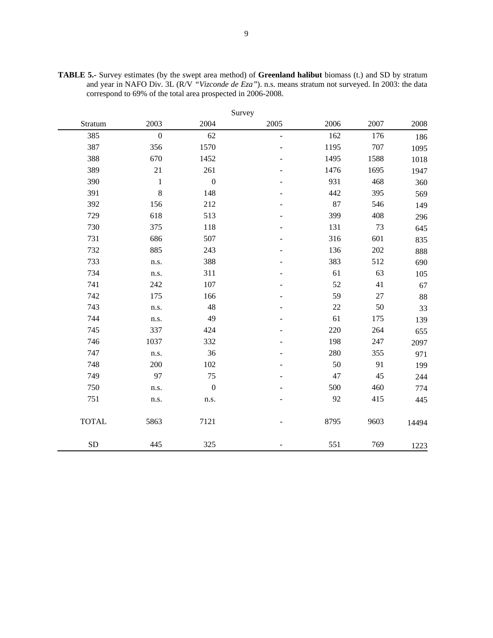|              |                  |                  | Survey        |        |      |       |
|--------------|------------------|------------------|---------------|--------|------|-------|
| Stratum      | 2003             | 2004             | 2005          | 2006   | 2007 | 2008  |
| 385          | $\boldsymbol{0}$ | 62               | $\frac{1}{2}$ | 162    | 176  | 186   |
| 387          | 356              | 1570             |               | 1195   | 707  | 1095  |
| 388          | 670              | 1452             |               | 1495   | 1588 | 1018  |
| 389          | 21               | 261              |               | 1476   | 1695 | 1947  |
| 390          | $\mathbf{1}$     | $\boldsymbol{0}$ |               | 931    | 468  | 360   |
| 391          | $\,8\,$          | 148              |               | 442    | 395  | 569   |
| 392          | 156              | 212              |               | 87     | 546  | 149   |
| 729          | 618              | 513              |               | 399    | 408  | 296   |
| 730          | 375              | 118              |               | 131    | 73   | 645   |
| 731          | 686              | 507              |               | 316    | 601  | 835   |
| 732          | 885              | 243              |               | 136    | 202  | 888   |
| 733          | n.s.             | 388              |               | 383    | 512  | 690   |
| 734          | n.s.             | 311              |               | 61     | 63   | 105   |
| 741          | 242              | 107              |               | 52     | 41   | 67    |
| 742          | 175              | 166              |               | 59     | 27   | 88    |
| 743          | n.s.             | 48               |               | $22\,$ | 50   | 33    |
| 744          | n.s.             | 49               |               | 61     | 175  | 139   |
| 745          | 337              | 424              |               | 220    | 264  | 655   |
| 746          | 1037             | 332              |               | 198    | 247  | 2097  |
| 747          | n.s.             | 36               |               | 280    | 355  | 971   |
| 748          | 200              | 102              |               | 50     | 91   | 199   |
| 749          | 97               | 75               |               | 47     | 45   | 244   |
| 750          | n.s.             | $\boldsymbol{0}$ |               | 500    | 460  | 774   |
| 751          | n.s.             | n.s.             |               | 92     | 415  | 445   |
| <b>TOTAL</b> | 5863             | 7121             |               | 8795   | 9603 | 14494 |
| SD           | 445              | 325              |               | 551    | 769  | 1223  |

**TABLE 5.-** Survey estimates (by the swept area method) of **Greenland halibut** biomass (t.) and SD by stratum and year in NAFO Div. 3L (R/V *"Vizconde de Eza"*). n.s. means stratum not surveyed. In 2003: the data correspond to 69% of the total area prospected in 2006-2008.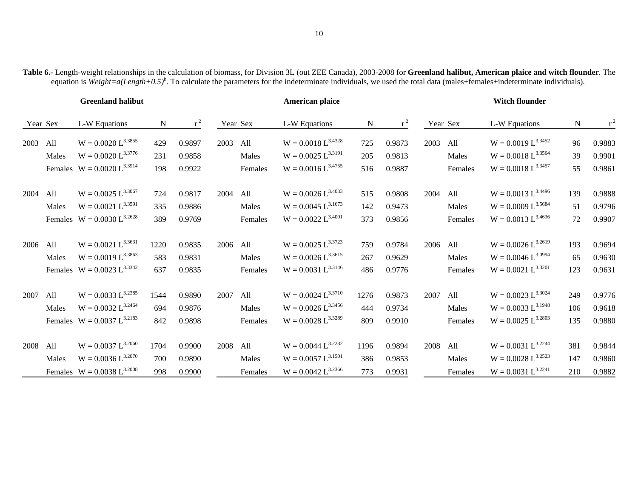|          |       | <b>Greenland halibut</b>        |             |        |          |          | <b>American plaice</b>  |      |        |          |          | <b>Witch flounder</b>   |     |        |
|----------|-------|---------------------------------|-------------|--------|----------|----------|-------------------------|------|--------|----------|----------|-------------------------|-----|--------|
| Year Sex |       | L-W Equations                   | $\mathbf N$ | $r^2$  |          | Year Sex | L-W Equations           | N    | $r^2$  |          | Year Sex | L-W Equations           | N   | $r^2$  |
| 2003     | All   | $W = 0.0020 L^{3.3855}$         | 429         | 0.9897 | 2003     | All      | $W = 0.0018 L^{3.4328}$ | 725  | 0.9873 | 2003     | All      | $W = 0.0019 L^{3.3452}$ | 96  | 0.9883 |
|          | Males | $W = 0.0020 L^{3.3776}$         | 231         | 0.9858 |          | Males    | $W = 0.0025 L^{3.3191}$ | 205  | 0.9813 |          | Males    | $W = 0.0018 L^{3.3564}$ | 39  | 0.9901 |
|          |       | Females $W = 0.0020 L^{3.3914}$ | 198         | 0.9922 |          | Females  | $W = 0.0016 L^{3.4755}$ | 516  | 0.9887 |          | Females  | $W = 0.0018 L^{3.3457}$ | 55  | 0.9861 |
| 2004     | All   | $W = 0.0025 L^{3.3067}$         | 724         | 0.9817 | 2004     | All      | $W = 0.0026 L^{3.4033}$ | 515  | 0.9808 | 2004     | All      | $W = 0.0013 L^{3.4496}$ | 139 | 0.9888 |
|          | Males | $W = 0.0021 L^{3.3591}$         | 335         | 0.9886 |          | Males    | $W = 0.0045 L^{3.1673}$ | 142  | 0.9473 |          | Males    | $W = 0.0009 L^{3.5684}$ | 51  | 0.9796 |
|          |       | Females $W = 0.0030 L^{3.2628}$ | 389         | 0.9769 |          | Females  | $W = 0.0022 L^{3.4001}$ | 373  | 0.9856 |          | Females  | $W = 0.0013 L^{3.4636}$ | 72  | 0.9907 |
| 2006     | All   | $W = 0.0021 L^{3.3631}$         | 1220        | 0.9835 | 2006 All |          | $W = 0.0025 L^{3.3723}$ | 759  | 0.9784 | 2006 All |          | $W = 0.0026 L^{3.2619}$ | 193 | 0.9694 |
|          | Males | $W = 0.0019 L^{3.3863}$         | 583         | 0.9831 |          | Males    | $W = 0.0026 L^{3.3615}$ | 267  | 0.9629 |          | Males    | $W = 0.0046 L^{3.0994}$ | 65  | 0.9630 |
|          |       | Females $W = 0.0023 L^{3.3342}$ | 637         | 0.9835 |          | Females  | $W = 0.0031 L^{3.3146}$ | 486  | 0.9776 |          | Females  | $W = 0.0021 L^{3.3201}$ | 123 | 0.9631 |
| 2007     | All   | $W = 0.0033 L^{3.2385}$         | 1544        | 0.9890 | 2007     | All      | $W = 0.0024 L^{3.3710}$ | 1276 | 0.9873 | 2007     | All      | $W = 0.0023 L^{3.3024}$ | 249 | 0.9776 |
|          | Males | $W = 0.0032 L^{3.2464}$         | 694         | 0.9876 |          | Males    | $W = 0.0026 L^{3.3456}$ | 444  | 0.9734 |          | Males    | $W = 0.0033 L^{3.1948}$ | 106 | 0.9618 |
|          |       | Females $W = 0.0037 L^{3.2183}$ | 842         | 0.9898 |          | Females  | $W = 0.0028 L^{3.3289}$ | 809  | 0.9910 |          | Females  | $W = 0.0025 L^{3.2803}$ | 135 | 0.9880 |
| 2008     | All   | $W = 0.0037 L^{3.2060}$         | 1704        | 0.9900 | 2008     | All      | $W = 0.0044 L^{3.2282}$ | 1196 | 0.9894 | 2008 All |          | $W = 0.0031 L^{3.2244}$ | 381 | 0.9844 |
|          | Males | $W = 0.0036 L^{3.2070}$         | 700         | 0.9890 |          | Males    | $W = 0.0057 L^{3.1501}$ | 386  | 0.9853 |          | Males    | $W = 0.0028 L^{3.2523}$ | 147 | 0.9860 |
|          |       | Females $W = 0.0038 L^{3.2008}$ | 998         | 0.9900 |          | Females  | $W = 0.0042 L^{3.2366}$ | 773  | 0.9931 |          | Females  | $W = 0.0031 L^{3.2241}$ | 210 | 0.9882 |

**Table 6.-** Length-weight relationships in the calculation of biomass, for Division 3L (out ZEE Canada), 2003-2008 for **Greenland halibut, American plaice and witch flounder**. The equation is *Weight=a(Length+0.5)*<sup>b</sup>. To calculate the parameters for the indeterminate individuals, we used the total data (males+females+indeterminate individuals).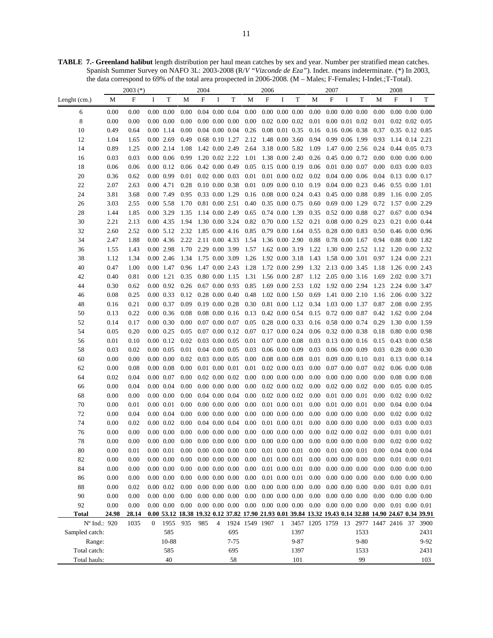**TABLE 7.- Greenland halibut** length distribution per haul mean catches by sex and year. Number per stratified mean catches. Spanish Summer Survey on NAFO 3L: 2003-2008 (R/*V "Vizconde de Eza"*). Indet. means indeterminate. (\*) In 2003, the data correspond to 69% of the total area prospected in 2006-2008. (M – Males; F-Females; I-Indet.;T-Total).

|                |               | $2003$ (*)    |              |                              |              | 2004                      |                      |                                              |                  | 2006 |   |                                              |                                                                                                        | 2007                        |                      |                      |              | 2008                                     |   |        |
|----------------|---------------|---------------|--------------|------------------------------|--------------|---------------------------|----------------------|----------------------------------------------|------------------|------|---|----------------------------------------------|--------------------------------------------------------------------------------------------------------|-----------------------------|----------------------|----------------------|--------------|------------------------------------------|---|--------|
| Lenght (cm.)   | М             | $\mathbf{F}$  | I            | T                            | M            | $\boldsymbol{\mathrm{F}}$ | $\bf{I}$             | T                                            | М                | F    | I | T                                            | M                                                                                                      | $\mathbf F$                 | I                    | T                    | М            | $\boldsymbol{\mathrm{F}}$                | I | T      |
| 6              | 0.00          | 0.00          |              | $0.00\ 0.00$                 | 0.00         |                           | $0.04$ 0.00 0.04     |                                              | 0.00             |      |   | $0.00\ 0.00\ 0.00$                           | 0.00                                                                                                   | $0.00\ 0.00\ 0.00$          |                      |                      | 0.00         | $0.00\ 0.00\ 0.00$                       |   |        |
| 8              | 0.00          | 0.00          |              | $0.00\ 0.00$                 | 0.00         |                           |                      | $0.00\ 0.00\ 0.00$                           | 0.00             |      |   | $0.02$ $0.00$ $0.02$                         | 0.01                                                                                                   | $0.00$ $0.01$ $0.02$        |                      |                      | 0.01         | $0.02$ 0.02 0.05                         |   |        |
| 10             | 0.49          | 0.64          |              | 0.00 1.14                    | 0.00         |                           |                      | $0.04$ 0.00 0.04                             | 0.26             |      |   | 0.08 0.01 0.35                               | 0.16                                                                                                   | $0.16$ 0.06 0.38            |                      |                      | 0.37         | 0.35 0.12 0.85                           |   |        |
| 12             | 1.04          | 1.65          |              | 0.00 2.69                    | 0.49         |                           | 0.68 0.10 1.27       |                                              | 2.12             |      |   | 1.48 0.00 3.60                               | 0.94                                                                                                   |                             | 0.99 0.06 1.99       |                      | 0.93         | 1.14 0.14 2.21                           |   |        |
| 14             | 0.89          | 1.25          |              | 0.00 2.14                    | 1.08         | 1.42 0.00 2.49            |                      |                                              | 2.64             |      |   | 3.18 0.00 5.82                               | 1.09                                                                                                   | 1.47 0.00 2.56              |                      |                      | 0.24         | 0.44 0.05 0.73                           |   |        |
| 16             | 0.03          | 0.03          |              | $0.00\ 0.06$                 | 0.99         | 1.20 0.02 2.22            |                      |                                              | 1.01             |      |   | 1.38 0.00 2.40                               | 0.26                                                                                                   | 0.45 0.00 0.72              |                      |                      | 0.00         | $0.00\ 0.00\ 0.00$                       |   |        |
| 18             | 0.06          | 0.06          |              | 0.00 0.12                    | 0.06         | $0.42$ $0.00$ $0.49$      |                      |                                              | 0.05             |      |   | $0.15$ 0.00 0.19                             | 0.06                                                                                                   | $0.01$ $0.00$ $0.07$        |                      |                      | 0.00         | $0.03$ 0.00 0.03                         |   |        |
| 20             | 0.36          | 0.62          |              | 0.00 0.99                    | 0.01         |                           | $0.02$ 0.00 0.03     |                                              | 0.01             |      |   | $0.01$ $0.00$ $0.02$                         | 0.02                                                                                                   | $0.04$ 0.00 0.06            |                      |                      | 0.04         | $0.13$ 0.00 0.17                         |   |        |
| 22             | 2.07          | 2.63          |              | 0.00 4.71                    | 0.28         | $0.10$ $0.00$ $0.38$      |                      |                                              | 0.01             |      |   | $0.09$ $0.00$ $0.10$                         | 0.19                                                                                                   | $0.04$ 0.00 0.23            |                      |                      | 0.46         | 0.55 0.00 1.01                           |   |        |
| 24             | 3.81          | 3.68          |              | 0.00 7.49                    | 0.95         | 0.33 0.00 1.29            |                      |                                              | 0.16             |      |   | $0.08$ 0.00 0.24                             | 0.43                                                                                                   | $0.45$ 0.00 0.88            |                      |                      | 0.89         | 1.16 0.00 2.05                           |   |        |
| 26             | 3.03          | 2.55          |              | $0.00$ 5.58                  | 1.70         | 0.81 0.00 2.51            |                      |                                              | 0.40             |      |   | 0.35 0.00 0.75                               | 0.60                                                                                                   | 0.69 0.00 1.29              |                      |                      | 0.72         | 1.57 0.00 2.29                           |   |        |
| 28             | 1.44          | 1.85          |              | 0.00 3.29                    | 1.35         | 1.14 0.00 2.49            |                      |                                              | 0.65             |      |   | 0.74 0.00 1.39                               | 0.35                                                                                                   | $0.52$ 0.00 0.88            |                      |                      | 0.27         | $0.67$ 0.00 0.94                         |   |        |
| 30             | 2.21          | 2.13          |              | 0.00 4.35                    | 1.94         |                           | 1.30 0.00 3.24       |                                              | 0.82             |      |   | 0.70 0.00 1.52                               | 0.21                                                                                                   | $0.08$ 0.00 0.29            |                      |                      | 0.23         | $0.21$ $0.00$ $0.44$                     |   |        |
| 32             | 2.60          | 2.52          |              | 0.00 5.12                    | 2.32         | 1.85 0.00 4.16            |                      |                                              | 0.85             |      |   | $0.79$ $0.00$ $1.64$                         | 0.55                                                                                                   | $0.28$ 0.00 0.83            |                      |                      | 0.50         | $0.46$ 0.00 0.96                         |   |        |
| 34             | 2.47          | 1.88          |              | 0.00 4.36                    | 2.22         | 2.11 0.00 4.33            |                      |                                              | 1.54             |      |   | 1.36 0.00 2.90                               | 0.88                                                                                                   | $0.78$ 0.00 1.67            |                      |                      | 0.94         | 0.88 0.00 1.82                           |   |        |
| 36             | 1.55          | 1.43          |              | 0.00 2.98                    | 1.70         | 2.29 0.00 3.99            |                      |                                              | 1.57             |      |   | 1.62 0.00 3.19                               | 1.22                                                                                                   | 1.30 0.00 2.52              |                      |                      | 1.12         | 1.20 0.00 2.32                           |   |        |
| 38             | 1.12          | 1.34          |              | 0.00 2.46                    | 1.34         | 1.75 0.00 3.09            |                      |                                              | 1.26             |      |   | 1.92 0.00 3.18                               | 1.43                                                                                                   | 1.58 0.00 3.01              |                      |                      | 0.97         | 1.24 0.00 2.21                           |   |        |
| 40             | 0.47          | 1.00          |              | 0.00 1.47                    | 0.96         | 1.47 0.00 2.43            |                      |                                              | 1.28             |      |   | 1.72 0.00 2.99                               | 1.32 2.13 0.00 3.45                                                                                    |                             |                      |                      | 1.18         | 1.26 0.00 2.43                           |   |        |
| 42             | 0.40          | 0.81          |              | 0.00 1.21                    | 0.35         | 0.80 0.00 1.15            |                      |                                              | 1.31             |      |   | 1.56 0.00 2.87                               | 1.12 2.05 0.00 3.16                                                                                    |                             |                      |                      | 1.69         | 2.02 0.00 3.71                           |   |        |
| 44             | 0.30          | 0.62          |              | $0.00\ 0.92$                 | 0.26         |                           |                      | $0.67$ 0.00 0.93                             | 0.85             |      |   | 1.69 0.00 2.53                               | 1.02 1.92 0.00 2.94                                                                                    |                             |                      |                      | 1.23         | 2.24 0.00 3.47                           |   |        |
| 46             | 0.08          | 0.25          |              | 0.00 0.33                    | 0.12         |                           |                      | $0.28$ 0.00 0.40                             | 0.48             |      |   | 1.02 0.00 1.50                               | 0.69                                                                                                   | 1.41 0.00 2.10              |                      |                      | 1.16         | 2.06 0.00 3.22                           |   |        |
| 48             | 0.16          | 0.21          |              | 0.00 0.37                    | 0.09         |                           |                      | $0.19$ $0.00$ $0.28$                         | 0.30             |      |   | 0.81 0.00 1.12                               | 0.34                                                                                                   |                             | 1.03 0.00 1.37       |                      | 0.87         | 2.08 0.00 2.95                           |   |        |
| 50             | 0.13          | 0.22          |              | 0.00 0.36                    | 0.08         |                           |                      | $0.08$ 0.00 0.16                             | 0.13             |      |   | $0.42$ 0.00 0.54                             | 0.15                                                                                                   | $0.72$ 0.00 0.87            |                      |                      | 0.42         | 1.62 0.00 2.04                           |   |        |
| 52             | 0.14          | 0.17          |              | 0.00 0.30                    | 0.00         |                           |                      | $0.07$ 0.00 0.07                             | 0.05             |      |   | $0.28$ 0.00 0.33                             |                                                                                                        | 0.16 0.58 0.00 0.74         |                      |                      | 0.29         | 1.30 0.00 1.59                           |   |        |
| 54             | 0.05          | 0.20          |              | $0.00 \quad 0.25$            | 0.05         |                           |                      | $0.07$ 0.00 0.12                             | 0.07             |      |   | $0.17$ $0.00$ $0.24$                         |                                                                                                        | $0.06$ $0.32$ $0.00$ $0.38$ |                      |                      | 0.18         | $0.80$ $0.00$ $0.98$                     |   |        |
| 56             | 0.01          | 0.10          |              | 0.00 0.12                    | 0.02         |                           | $0.03$ 0.00 0.05     |                                              | 0.01             |      |   | $0.07$ $0.00$ $0.08$                         | 0.03                                                                                                   |                             |                      | $0.13$ 0.00 0.16     | 0.15         | $0.43$ 0.00 0.58                         |   |        |
| 58             | 0.03          | 0.02          |              | 0.00 0.05                    | 0.01         |                           | $0.04$ 0.00 0.05     |                                              | 0.03             |      |   | $0.06$ $0.00$ $0.09$                         | 0.03                                                                                                   | $0.06$ $0.00$ $0.09$        |                      |                      | 0.03         | $0.28$ 0.00 0.30                         |   |        |
| 60             | 0.00          | 0.00          |              | $0.00\ 0.00$                 | 0.02         | $0.03$ 0.00 0.05          |                      |                                              | 0.00             |      |   | $0.08$ 0.00 0.08                             | 0.01                                                                                                   |                             |                      | $0.09$ $0.00$ $0.10$ | 0.01         | $0.13$ $0.00$ $0.14$                     |   |        |
| 62             | 0.00          | 0.08          |              | $0.00\ 0.08$                 | 0.00         |                           | $0.01$ $0.00$ $0.01$ |                                              | 0.01             |      |   | $0.02$ 0.00 0.03                             | 0.00                                                                                                   | $0.07$ $0.00$ $0.07$        |                      |                      | 0.02         | $0.06$ $0.00$ $0.08$                     |   |        |
| 64             | 0.02          | 0.04          |              | 0.00 0.07                    | 0.00         |                           | $0.02$ $0.00$ $0.02$ |                                              | 0.00             |      |   | $0.00\ 0.00\ 0.00$                           | 0.00                                                                                                   | $0.00\ 0.00\ 0.00$          |                      |                      | 0.00         | $0.08$ 0.00 0.08                         |   |        |
| 66             | 0.00          | 0.04          |              | 0.00 0.04                    | 0.00         |                           | $0.00\ 0.00\ 0.00$   |                                              | 0.00             |      |   | $0.02$ $0.00$ $0.02$                         | 0.00                                                                                                   |                             | $0.02$ $0.00$ $0.02$ |                      | 0.00         | $0.05$ 0.00 0.05                         |   |        |
| 68             | 0.00          | 0.00          |              | $0.00\ 0.00$                 | 0.00         |                           | $0.04$ 0.00 0.04     |                                              | 0.00             |      |   | $0.02$ $0.00$ $0.02$                         | 0.00                                                                                                   |                             | $0.01$ $0.00$ $0.01$ |                      | 0.00         | $0.02$ $0.00$ $0.02$                     |   |        |
| 70             | 0.00          | 0.01          |              | $0.00\ 0.01$                 | 0.00         |                           |                      | $0.00\ 0.00\ 0.00$                           | 0.00             |      |   | $0.01$ $0.00$ $0.01$                         | 0.00                                                                                                   |                             | $0.01$ $0.00$ $0.01$ |                      | 0.00         | $0.04$ 0.00 0.04                         |   |        |
| 72             | 0.00          | 0.04          |              | 0.00 0.04                    | 0.00         |                           |                      | $0.00\ 0.00\ 0.00$                           | 0.00             |      |   | $0.00\ 0.00\ 0.00$                           | 0.00                                                                                                   |                             | $0.00\ 0.00\ 0.00$   |                      | 0.00         | $0.02$ 0.00 0.02                         |   |        |
| 74             | 0.00          | 0.02          |              | $0.00\ 0.02$                 | 0.00         |                           | $0.04$ 0.00 0.04     |                                              | 0.00             |      |   | $0.01$ $0.00$ $0.01$                         | 0.00                                                                                                   |                             | $0.00\ 0.00\ 0.00$   |                      | 0.00         | $0.03$ 0.00 0.03                         |   |        |
| 76             | 0.00          | 0.00          |              | $0.00\ 0.00$                 | 0.00         |                           | $0.00\ 0.00\ 0.00$   |                                              | 0.00             |      |   | $0.00\ 0.00\ 0.00$                           | 0.00                                                                                                   |                             | $0.02$ $0.00$ $0.02$ |                      | 0.00         | $0.01$ $0.00$ $0.01$                     |   |        |
| 78             | 0.00          | 0.00          |              | $0.00\ 0.00$                 | 0.00         |                           |                      | $0.00\ 0.00\ 0.00$                           | 0.00             |      |   | $0.00\ 0.00\ 0.00$                           | 0.00                                                                                                   |                             | $0.00\ 0.00\ 0.00$   |                      | 0.00         | $0.02$ 0.00 0.02                         |   |        |
| 80             | 0.00          | 0.01          |              | $0.00$ $0.01$                | 0.00         |                           |                      | $0.00\ 0.00\ 0.00$                           | 0.00             |      |   | $0.01$ $0.00$ $0.01$                         | $0.00\,$                                                                                               | $0.01$ $0.00$ $0.01$        |                      |                      | 0.00         | $0.04$ 0.00 0.04                         |   |        |
| 82             | 0.00          | 0.00          |              | $0.00\ 0.00$                 | 0.00         |                           |                      | $0.00\ 0.00\ 0.00$                           | 0.00             |      |   | $0.01$ $0.00$ $0.01$                         | 0.00                                                                                                   |                             |                      | $0.00\ 0.00\ 0.00$   | 0.00         | $0.01$ $0.00$ $0.01$                     |   |        |
| 84             | 0.00          | 0.00          |              | $0.00\ 0.00$<br>$0.00\ 0.00$ | 0.00<br>0.00 |                           |                      | $0.00\;\;0.00\;\;0.00$<br>$0.00\ 0.00\ 0.00$ | 0.00<br>0.00     |      |   | $0.01$ $0.00$ $0.01$<br>$0.01$ $0.00$ $0.01$ | 0.00<br>0.00                                                                                           | $0.00$ $0.00$ $0.00$        |                      | $0.00\ 0.00\ 0.00$   | 0.00<br>0.00 | $0.00\ 0.00\ 0.00$<br>$0.00\ 0.00\ 0.00$ |   |        |
| 86<br>88       | 0.00<br>0.00  | 0.00<br>0.02  |              | $0.00\ 0.02$                 | 0.00         |                           |                      | $0.00\ 0.00\ 0.00$                           | 0.00             |      |   | $0.00\ 0.00\ 0.00$                           | 0.00                                                                                                   | $0.00\ 0.00\ 0.00$          |                      |                      | 0.00         | $0.01$ $0.00$ $0.01$                     |   |        |
| 90             | 0.00          |               |              | $0.00\ 0.00$                 | 0.00         |                           |                      | $0.00\ 0.00\ 0.00$                           | 0.00             |      |   | $0.00\ 0.00\ 0.00$                           | 0.00                                                                                                   |                             |                      | $0.00\ 0.00\ 0.00$   | 0.00         | $0.00\ 0.00\ 0.00$                       |   |        |
| 92             |               | 0.00          |              |                              | 0.00         |                           |                      | $0.00\ 0.00\ 0.00$                           |                  |      |   | $0.00\ 0.00\ 0.00$                           | $0.00\quad 0.00\quad 0.00\quad 0.00$                                                                   |                             |                      |                      | 0.00         |                                          |   |        |
| <b>Total</b>   | 0.00<br>24.98 | 0.00<br>28.14 |              | $0.00\ 0.00$                 |              |                           |                      |                                              | $0.00\,$         |      |   |                                              | 0.00 53.12 18.38 19.32 0.12 37.82 17.90 21.93 0.01 39.84 13.32 19.43 0.14 32.88 14.90 24.67 0.34 39.91 |                             |                      |                      |              | $0.01$ $0.00$ $0.01$                     |   |        |
| Nº Ind.: 920   |               | 1035          | $\mathbf{0}$ | 1955                         | 935          | 985                       | $\overline{4}$       |                                              | 1924 1549 1907 1 |      |   |                                              | 3457 1205 1759 13 2977 1447 2416 37 3900                                                               |                             |                      |                      |              |                                          |   |        |
| Sampled catch: |               |               |              | 585                          |              |                           |                      | 695                                          |                  |      |   | 1397                                         |                                                                                                        |                             |                      | 1533                 |              |                                          |   | 2431   |
| Range:         |               |               |              | 10-88                        |              |                           |                      | $7 - 75$                                     |                  |      |   | $9 - 87$                                     |                                                                                                        |                             |                      | $9 - 80$             |              |                                          |   | $9-92$ |
| Total catch:   |               |               |              | 585                          |              |                           |                      | 695                                          |                  |      |   | 1397                                         |                                                                                                        |                             |                      | 1533                 |              |                                          |   | 2431   |
| Total hauls:   |               |               |              | 40                           |              |                           |                      | 58                                           |                  |      |   | 101                                          |                                                                                                        |                             |                      | 99                   |              |                                          |   | 103    |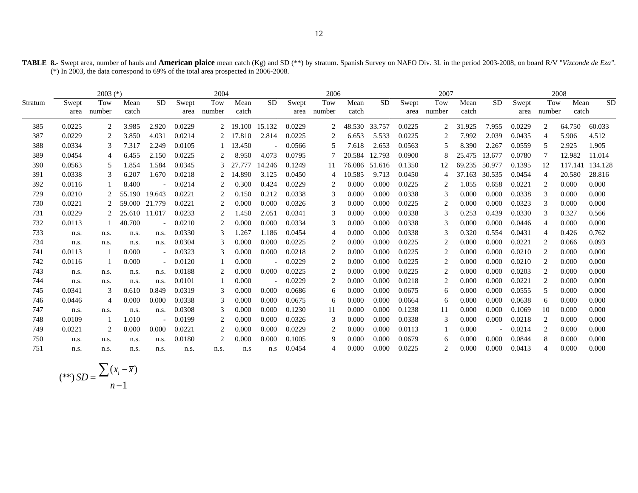|  | TABLE 8.- Swept area, number of hauls and American plaice mean catch (Kg) and SD (**) by stratum. Spanish Survey on NAFO Div. 3L in the period 2003-2008, on board R/V "Vizconde de Eza". |  |  |  |
|--|-------------------------------------------------------------------------------------------------------------------------------------------------------------------------------------------|--|--|--|
|  | (*) In 2003, the data correspond to 69% of the total area prospected in 2006-2008.                                                                                                        |  |  |  |

|         |               | $2003$ (*)    |               |                          |               | 2004           |               |           |               | 2006           |               |           |               | 2007                          |               |                |               | 2008           |               |           |
|---------|---------------|---------------|---------------|--------------------------|---------------|----------------|---------------|-----------|---------------|----------------|---------------|-----------|---------------|-------------------------------|---------------|----------------|---------------|----------------|---------------|-----------|
| Stratum | Swept<br>area | Tow<br>number | Mean<br>catch | <b>SD</b>                | Swept<br>area | Tow<br>number  | Mean<br>catch | <b>SD</b> | Swept<br>area | Tow<br>number  | Mean<br>catch | <b>SD</b> | Swept<br>area | Tow<br>number                 | Mean<br>catch | <b>SD</b>      | Swept<br>area | Tow<br>number  | Mean<br>catch | <b>SD</b> |
| 385     | 0.0225        | 2             | 3.985         | 2.920                    | 0.0229        | 2              | 19.100        | 15.132    | 0.0229        | 2              | 48.530        | 33.757    | 0.0225        | $\overline{c}$                | 31.925        | 7.955          | 0.0229        | $\overline{c}$ | 64.750        | 60.033    |
| 387     | 0.0229        | 2             | 3.850         | 4.031                    | 0.0214        | 2              | 17.810        | 2.814     | 0.0225        | $\overline{c}$ | 6.653         | 5.533     | 0.0225        | 2                             | 7.992         | 2.039          | 0.0435        | $\overline{4}$ | 5.906         | 4.512     |
| 388     | 0.0334        | 3             | 7.317         | 2.249                    | 0.0105        |                | 13.450        |           | 0.0566        | 5              | 7.618         | 2.653     | 0.0563        | 5                             | 8.390         | 2.267          | 0.0559        | 5              | 2.925         | 1.905     |
| 389     | 0.0454        | 4             | 6.455         | 2.150                    | 0.0225        | 2              | 8.950         | 4.073     | 0.0795        |                | 20.584        | 12.793    | 0.0900        | 8                             | 25.475        | 13.677         | 0.0780        |                | 12.982        | 11.014    |
| 390     | 0.0563        | 5             | 1.854         | 1.584                    | 0.0345        | 3              | 27.777        | 14.246    | 0.1249        | 11             | 76.086        | 51.616    | 0.1350        |                               | 69.235        | 50.977         | 0.1395        | 12             | 117.141       | 134.128   |
| 391     | 0.0338        | 3             | 6.207         | 1.670                    | 0.0218        | 2              | 14.890        | 3.125     | 0.0450        | 4              | 10.585        | 9.713     | 0.0450        | 4                             | 37.163        | 30.535         | 0.0454        | $\overline{4}$ | 20.580        | 28.816    |
| 392     | 0.0116        |               | 8.400         |                          | 0.0214        |                | 0.300         | 0.424     | 0.0229        | 2              | 0.000         | 0.000     | 0.0225        |                               | 1.055         | 0.658          | 0.0221        | $\overline{2}$ | 0.000         | 0.000     |
| 729     | 0.0210        |               | 55.190        | 19.643                   | 0.0221        | $\overline{c}$ | 0.150         | 0.212     | 0.0338        | 3              | 0.000         | 0.000     | 0.0338        | 3                             | 0.000         | 0.000          | 0.0338        | 3              | 0.000         | 0.000     |
| 730     | 0.0221        | 2             | 59.000        | 21.779                   | 0.0221        | 2              | 0.000         | 0.000     | 0.0326        | 3              | 0.000         | 0.000     | 0.0225        | 2                             | 0.000         | 0.000          | 0.0323        | 3              | 0.000         | 0.000     |
| 731     | 0.0229        |               | 25.610 11.017 |                          | 0.0233        |                | 1.450         | 2.051     | 0.0341        | 3              | 0.000         | 0.000     | 0.0338        | 3                             | 0.253         | 0.439          | 0.0330        |                | 0.327         | 0.566     |
| 732     | 0.0113        |               | 40.700        |                          | 0.0210        | $\overline{c}$ | 0.000         | 0.000     | 0.0334        | 3              | 0.000         | 0.000     | 0.0338        | 3                             | 0.000         | 0.000          | 0.0446        | $\overline{4}$ | 0.000         | 0.000     |
| 733     | n.s.          | n.s.          | n.s.          | n.s.                     | 0.0330        | 3              | 1.267         | 1.186     | 0.0454        | $\overline{4}$ | 0.000         | 0.000     | 0.0338        | 3                             | 0.320         | 0.554          | 0.0431        | $\overline{4}$ | 0.426         | 0.762     |
| 734     | n.s.          | n.s.          | n.s.          | n.s.                     | 0.0304        | 3              | 0.000         | 0.000     | 0.0225        | $\overline{c}$ | 0.000         | 0.000     | 0.0225        | 2                             | 0.000         | 0.000          | 0.0221        | $\overline{2}$ | 0.066         | 0.093     |
| 741     | 0.0113        |               | 0.000         | $\overline{\phantom{a}}$ | 0.0323        | 3              | 0.000         | 0.000     | 0.0218        | 2              | 0.000         | 0.000     | 0.0225        | 2                             | 0.000         | 0.000          | 0.0210        | 2              | 0.000         | 0.000     |
| 742     | 0.0116        |               | 0.000         |                          | 0.0120        |                | 0.000         |           | 0.0229        | $\overline{c}$ | 0.000         | 0.000     | 0.0225        | $\overline{c}$                | 0.000         | 0.000          | 0.0210        | $\overline{2}$ | 0.000         | 0.000     |
| 743     | n.s.          | n.s.          | n.s.          | n.s.                     | 0.0188        | 2              | 0.000         | 0.000     | 0.0225        | 2              | 0.000         | 0.000     | 0.0225        | 2                             | 0.000         | 0.000          | 0.0203        | 2              | 0.000         | 0.000     |
| 744     | n.s.          | n.s.          | n.s.          | n.s.                     | 0.0101        |                | 0.000         |           | 0.0229        | $\overline{c}$ | 0.000         | 0.000     | 0.0218        | 2                             | 0.000         | 0.000          | 0.0221        | $\mathcal{D}$  | 0.000         | 0.000     |
| 745     | 0.0341        | $\mathcal{R}$ | 0.610         | 0.849                    | 0.0319        | 3              | 0.000         | 0.000     | 0.0686        | 6              | 0.000         | 0.000     | 0.0675        | 6                             | 0.000         | 0.000          | 0.0555        | 5              | 0.000         | 0.000     |
| 746     | 0.0446        | 4             | 0.000         | 0.000                    | 0.0338        | 3              | 0.000         | 0.000     | 0.0675        | 6              | 0.000         | 0.000     | 0.0664        | 6                             | 0.000         | 0.000          | 0.0638        | 6              | 0.000         | 0.000     |
| 747     | n.s.          | n.s.          | n.s.          | n.s.                     | 0.0308        | 3              | 0.000         | 0.000     | 0.1230        | 11             | 0.000         | 0.000     | 0.1238        | 11                            | 0.000         | 0.000          | 0.1069        | 10             | 0.000         | 0.000     |
| 748     | 0.0109        |               | 1.010         |                          | 0.0199        | $\overline{2}$ | 0.000         | 0.000     | 0.0326        | 3              | 0.000         | 0.000     | 0.0338        | 3                             | 0.000         | 0.000          | 0.0218        | 2              | 0.000         | 0.000     |
| 749     | 0.0221        | 2             | 0.000         | 0.000                    | 0.0221        | 2              | 0.000         | 0.000     | 0.0229        | 2              | 0.000         | 0.000     | 0.0113        |                               | 0.000         | $\overline{a}$ | 0.0214        | 2              | 0.000         | 0.000     |
| 750     | n.s.          | n.s.          | n.s.          | n.s.                     | 0.0180        | $\overline{c}$ | 0.000         | 0.000     | 0.1005        | 9              | 0.000         | 0.000     | 0.0679        | 6                             | 0.000         | 0.000          | 0.0844        | 8              | 0.000         | 0.000     |
| 751     | n.s.          | n.s.          | n.s.          | n.s.                     | n.s.          | n.s.           | n.s           | n.s       | 0.0454        |                | 0.000         | 0.000     | 0.0225        | $\mathfrak{D}_{\mathfrak{p}}$ | 0.000         | 0.000          | 0.0413        |                | 0.000         | 0.000     |

$$
(**) SD = \frac{\sum (x_i - \overline{x})}{n - 1}
$$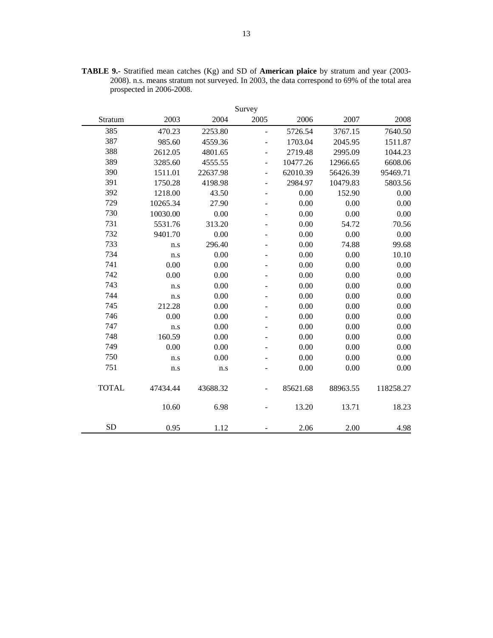|              |          |          | Survey                       |          |          |           |
|--------------|----------|----------|------------------------------|----------|----------|-----------|
| Stratum      | 2003     | 2004     | 2005                         | 2006     | 2007     | 2008      |
| 385          | 470.23   | 2253.80  | L.                           | 5726.54  | 3767.15  | 7640.50   |
| 387          | 985.60   | 4559.36  | $\overline{\phantom{0}}$     | 1703.04  | 2045.95  | 1511.87   |
| 388          | 2612.05  | 4801.65  | $\overline{\phantom{0}}$     | 2719.48  | 2995.09  | 1044.23   |
| 389          | 3285.60  | 4555.55  | ÷,                           | 10477.26 | 12966.65 | 6608.06   |
| 390          | 1511.01  | 22637.98 | $\overline{\phantom{0}}$     | 62010.39 | 56426.39 | 95469.71  |
| 391          | 1750.28  | 4198.98  | $\overline{\phantom{0}}$     | 2984.97  | 10479.83 | 5803.56   |
| 392          | 1218.00  | 43.50    | $\qquad \qquad \blacksquare$ | 0.00     | 152.90   | 0.00      |
| 729          | 10265.34 | 27.90    |                              | 0.00     | 0.00     | 0.00      |
| 730          | 10030.00 | 0.00     |                              | 0.00     | 0.00     | 0.00      |
| 731          | 5531.76  | 313.20   |                              | 0.00     | 54.72    | 70.56     |
| 732          | 9401.70  | 0.00     |                              | 0.00     | 0.00     | 0.00      |
| 733          | n.s      | 296.40   | ۰                            | $0.00\,$ | 74.88    | 99.68     |
| 734          | n.s      | 0.00     |                              | 0.00     | 0.00     | 10.10     |
| 741          | 0.00     | 0.00     |                              | 0.00     | 0.00     | 0.00      |
| 742          | 0.00     | 0.00     |                              | 0.00     | 0.00     | 0.00      |
| 743          | n.s      | 0.00     |                              | 0.00     | 0.00     | 0.00      |
| 744          | n.s      | 0.00     |                              | 0.00     | 0.00     | 0.00      |
| 745          | 212.28   | 0.00     |                              | 0.00     | 0.00     | 0.00      |
| 746          | 0.00     | 0.00     |                              | 0.00     | 0.00     | 0.00      |
| 747          | n.s      | 0.00     |                              | 0.00     | 0.00     | 0.00      |
| 748          | 160.59   | 0.00     |                              | 0.00     | 0.00     | 0.00      |
| 749          | 0.00     | 0.00     |                              | 0.00     | 0.00     | 0.00      |
| 750          | n.s      | 0.00     |                              | 0.00     | 0.00     | 0.00      |
| 751          | n.s      | n.s      |                              | 0.00     | 0.00     | 0.00      |
| <b>TOTAL</b> | 47434.44 | 43688.32 |                              | 85621.68 | 88963.55 | 118258.27 |
|              | 10.60    | 6.98     |                              | 13.20    | 13.71    | 18.23     |
| <b>SD</b>    | 0.95     | 1.12     |                              | 2.06     | 2.00     | 4.98      |

**TABLE 9.-** Stratified mean catches (Kg) and SD of **American plaice** by stratum and year (2003- 2008). n.s. means stratum not surveyed. In 2003, the data correspond to 69% of the total area prospected in 2006-2008.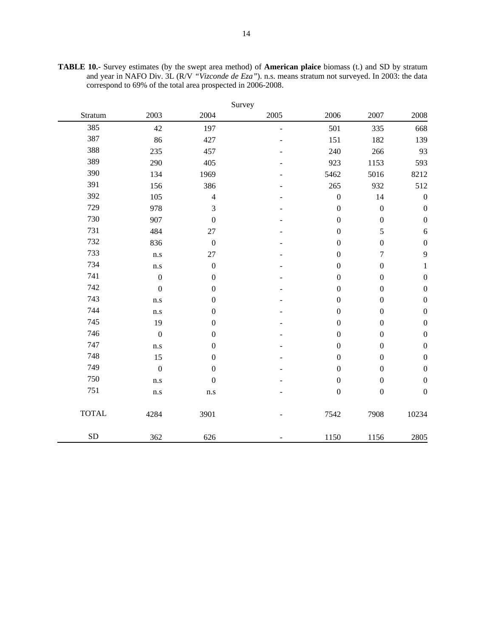| <b>TABLE 10.-</b> Survey estimates (by the swept area method) of <b>American plaice</b> biomass (t.) and SD by stratum |  |  |
|------------------------------------------------------------------------------------------------------------------------|--|--|
| and year in NAFO Div. 3L (R/V "Vizconde de Eza"). n.s. means stratum not surveyed. In 2003: the data                   |  |  |
| correspond to 69% of the total area prospected in 2006-2008.                                                           |  |  |

|              |                  |                  | Survey |                  |                  |                  |
|--------------|------------------|------------------|--------|------------------|------------------|------------------|
| Stratum      | 2003             | 2004             | 2005   | 2006             | 2007             | 2008             |
| 385          | 42               | 197              | L.     | 501              | 335              | 668              |
| 387          | 86               | 427              |        | 151              | 182              | 139              |
| 388          | 235              | 457              |        | 240              | 266              | 93               |
| 389          | 290              | 405              |        | 923              | 1153             | 593              |
| 390          | 134              | 1969             |        | 5462             | 5016             | 8212             |
| 391          | 156              | 386              |        | 265              | 932              | 512              |
| 392          | 105              | $\overline{4}$   |        | $\boldsymbol{0}$ | 14               | $\boldsymbol{0}$ |
| 729          | 978              | 3                |        | $\boldsymbol{0}$ | $\boldsymbol{0}$ | $\boldsymbol{0}$ |
| 730          | 907              | $\boldsymbol{0}$ |        | $\boldsymbol{0}$ | $\boldsymbol{0}$ | $\boldsymbol{0}$ |
| 731          | 484              | 27               |        | $\boldsymbol{0}$ | 5                | $\sqrt{6}$       |
| 732          | 836              | $\boldsymbol{0}$ |        | $\boldsymbol{0}$ | $\boldsymbol{0}$ | $\boldsymbol{0}$ |
| 733          | n.s              | 27               |        | $\mathbf{0}$     | $\tau$           | 9                |
| 734          | n.s              | $\boldsymbol{0}$ |        | $\boldsymbol{0}$ | $\boldsymbol{0}$ | $\mathbf{1}$     |
| 741          | $\boldsymbol{0}$ | $\boldsymbol{0}$ |        | $\boldsymbol{0}$ | $\boldsymbol{0}$ | $\boldsymbol{0}$ |
| 742          | $\boldsymbol{0}$ | $\boldsymbol{0}$ |        | $\boldsymbol{0}$ | $\boldsymbol{0}$ | $\boldsymbol{0}$ |
| 743          | n.s              | $\boldsymbol{0}$ |        | $\boldsymbol{0}$ | $\boldsymbol{0}$ | $\boldsymbol{0}$ |
| 744          | n.s              | $\boldsymbol{0}$ |        | $\boldsymbol{0}$ | $\boldsymbol{0}$ | $\boldsymbol{0}$ |
| 745          | 19               | $\boldsymbol{0}$ |        | $\boldsymbol{0}$ | $\boldsymbol{0}$ | $\boldsymbol{0}$ |
| 746          | $\boldsymbol{0}$ | $\boldsymbol{0}$ |        | $\mathbf{0}$     | $\overline{0}$   | $\boldsymbol{0}$ |
| 747          | n.s              | $\boldsymbol{0}$ |        | $\boldsymbol{0}$ | $\boldsymbol{0}$ | $\boldsymbol{0}$ |
| 748          | 15               | $\boldsymbol{0}$ |        | $\boldsymbol{0}$ | $\boldsymbol{0}$ | $\boldsymbol{0}$ |
| 749          | $\boldsymbol{0}$ | $\boldsymbol{0}$ |        | $\boldsymbol{0}$ | $\boldsymbol{0}$ | $\boldsymbol{0}$ |
| 750          | n.s              | $\boldsymbol{0}$ |        | $\boldsymbol{0}$ | $\boldsymbol{0}$ | $\boldsymbol{0}$ |
| 751          | n.s              | $\rm n.s$        |        | $\boldsymbol{0}$ | $\boldsymbol{0}$ | $\boldsymbol{0}$ |
| <b>TOTAL</b> | 4284             | 3901             |        | 7542             | 7908             | 10234            |
| ${\rm SD}$   | 362              | 626              |        | 1150             | 1156             | 2805             |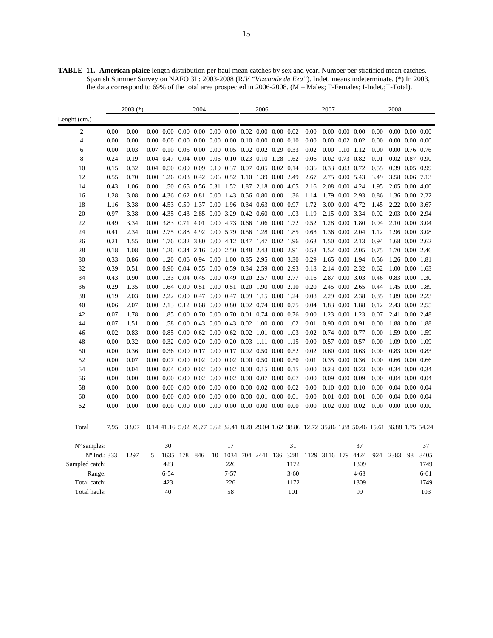**TABLE 11.- American plaice** length distribution per haul mean catches by sex and year. Number per stratified mean catches. Spanish Summer Survey on NAFO 3L: 2003-2008 (R/*V "Vizconde de Eza"*). Indet. means indeterminate. (\*) In 2003, the data correspond to 69% of the total area prospected in 2006-2008. (M – Males; F-Females; I-Indet.;T-Total).

|                | $2003$ (*) |       |   |                   |  | 2004                          |    |           | 2006 |                                                                                                  |  |                   |                                                                                                      | 2007                 |  |                      |      | 2008                 |    |                    |
|----------------|------------|-------|---|-------------------|--|-------------------------------|----|-----------|------|--------------------------------------------------------------------------------------------------|--|-------------------|------------------------------------------------------------------------------------------------------|----------------------|--|----------------------|------|----------------------|----|--------------------|
| Lenght $(cm.)$ |            |       |   |                   |  |                               |    |           |      |                                                                                                  |  |                   |                                                                                                      |                      |  |                      |      |                      |    |                    |
| 2              | 0.00       | 0.00  |   |                   |  |                               |    |           |      | $0.00\quad 0.00\quad 0.00\quad 0.00\quad 0.00\quad 0.00\quad 0.02\quad 0.00\quad 0.00\quad 0.02$ |  |                   | 0.00                                                                                                 | $0.00\ 0.00\ 0.00$   |  |                      | 0.00 | $0.00\ 0.00\ 0.00$   |    |                    |
| 4              | 0.00       | 0.00  |   | $0.00\ 0.00$      |  |                               |    |           |      | $0.00$ $0.00$ $0.00$ $0.00$ $0.10$ $0.00$ $0.00$ $0.10$                                          |  |                   | 0.00                                                                                                 |                      |  | $0.00$ $0.02$ $0.02$ | 0.00 | $0.00\ 0.00\ 0.00$   |    |                    |
| 6              | 0.00       | 0.03  |   | $0.07$ 0.10       |  | $0.05$ $0.00$ $0.00$ $0.05$   |    |           |      | $0.02$ $0.02$ $0.29$ $0.33$                                                                      |  |                   | 0.02                                                                                                 |                      |  | $0.00$ $1.10$ $1.12$ | 0.00 | $0.00$ 0.76 0.76     |    |                    |
| 8              | 0.24       | 0.19  |   |                   |  |                               |    |           |      | 0.04 0.47 0.04 0.00 0.06 0.10 0.23 0.10 1.28 1.62                                                |  |                   | 0.06                                                                                                 |                      |  | $0.02$ 0.73 0.82     | 0.01 | 0.02 0.87 0.90       |    |                    |
| 10             | 0.15       | 0.32  |   |                   |  |                               |    |           |      | 0.04 0.50 0.09 0.09 0.19 0.37 0.07 0.05 0.02 0.14                                                |  |                   | 0.36                                                                                                 |                      |  | 0.33 0.03 0.72       | 0.55 | 0.39 0.05 0.99       |    |                    |
| 12             | 0.55       | 0.70  |   |                   |  |                               |    |           |      | 0.00 1.26 0.03 0.42 0.06 0.52 1.10 1.39 0.00 2.49                                                |  |                   | 2.67                                                                                                 |                      |  | 2.75 0.00 5.43       | 3.49 | 3.58 0.06 7.13       |    |                    |
| 14             | 0.43       | 1.06  |   |                   |  |                               |    |           |      | 0.00 1.50 0.65 0.56 0.31 1.52 1.87 2.18 0.00 4.05                                                |  |                   | 2.16                                                                                                 |                      |  | 2.08 0.00 4.24       | 1.95 | 2.05 0.00 4.00       |    |                    |
| 16             | 1.28       | 3.08  |   |                   |  |                               |    |           |      | 0.00 4.36 0.62 0.81 0.00 1.43 0.56 0.80 0.00 1.36                                                |  |                   | 1.14                                                                                                 |                      |  | 1.79 0.00 2.93       | 0.86 | 1.36 0.00 2.22       |    |                    |
| 18             | 1.16       | 3.38  |   |                   |  |                               |    |           |      | 0.00 4.53 0.59 1.37 0.00 1.96 0.34 0.63 0.00 0.97                                                |  |                   | 1.72                                                                                                 |                      |  | 3.00 0.00 4.72       | 1.45 | 2.22 0.00 3.67       |    |                    |
| 20             | 0.97       | 3.38  |   |                   |  | 0.00 4.35 0.43 2.85 0.00 3.29 |    |           |      | 0.42 0.60 0.00 1.03                                                                              |  |                   | 1.19                                                                                                 |                      |  | 2.15 0.00 3.34       | 0.92 | 2.03 0.00 2.94       |    |                    |
| 22             | 0.49       | 3.34  |   | 0.00 3.83 0.71    |  | 4.01                          |    | 0.00 4.73 |      | 0.66 1.06 0.00 1.72                                                                              |  |                   | 0.52                                                                                                 | 1.28 0.00            |  | 1.80                 | 0.94 | 2.10 0.00 3.04       |    |                    |
| 24             | 0.41       | 2.34  |   |                   |  | 0.00 2.75 0.88 4.92 0.00 5.79 |    |           |      | 0.56 1.28 0.00 1.85                                                                              |  |                   | 0.68                                                                                                 |                      |  | 1.36 0.00 2.04       | 1.12 | 1.96 0.00 3.08       |    |                    |
| 26             | 0.21       | 1.55  |   |                   |  |                               |    |           |      | 0.00 1.76 0.32 3.80 0.00 4.12 0.47 1.47 0.02 1.96                                                |  |                   | 0.63                                                                                                 |                      |  | 1.50 0.00 2.13       | 0.94 |                      |    | 1.68 0.00 2.62     |
| 28             | 0.18       | 1.08  |   |                   |  |                               |    |           |      | 0.00 1.26 0.34 2.16 0.00 2.50 0.48 2.43 0.00 2.91                                                |  |                   | 0.53                                                                                                 |                      |  | 1.52 0.00 2.05       | 0.75 | 1.70                 |    | $0.00\;\;2.46$     |
| 30             | 0.33       | 0.86  |   |                   |  |                               |    |           |      | 0.00 1.20 0.06 0.94 0.00 1.00 0.35 2.95 0.00 3.30                                                |  |                   | 0.29                                                                                                 |                      |  | 1.65 0.00 1.94       | 0.56 | 1.26 0.00 1.81       |    |                    |
| 32             | 0.39       | 0.51  |   |                   |  |                               |    |           |      | 0.00 0.90 0.04 0.55 0.00 0.59 0.34 2.59 0.00 2.93                                                |  |                   | 0.18                                                                                                 |                      |  | 2.14 0.00 2.32       | 0.62 | 1.00 0.00 1.63       |    |                    |
| 34             | 0.43       | 0.90  |   |                   |  |                               |    |           |      | 0.00 1.33 0.04 0.45 0.00 0.49 0.20 2.57 0.00 2.77                                                |  |                   | 0.16                                                                                                 | 2.87 0.00 3.03       |  |                      | 0.46 | 0.83 0.00 1.30       |    |                    |
| 36             | 0.29       | 1.35  |   | $0.00 \quad 1.64$ |  | $0.00 \quad 0.51$             |    |           |      | 0.00 0.51 0.20 1.90 0.00 2.10                                                                    |  |                   | 0.20                                                                                                 |                      |  | 2.45 0.00 2.65       | 0.44 | 1.45 0.00 1.89       |    |                    |
| 38             | 0.19       | 2.03  |   |                   |  |                               |    |           |      | 0.00 2.22 0.00 0.47 0.00 0.47 0.09 1.15 0.00 1.24                                                |  |                   | 0.08                                                                                                 |                      |  | 2.29 0.00 2.38       | 0.35 | 1.89 0.00 2.23       |    |                    |
| 40             | 0.06       | 2.07  |   |                   |  |                               |    |           |      | 0.00 2.13 0.12 0.68 0.00 0.80 0.02 0.74 0.00 0.75                                                |  |                   | 0.04                                                                                                 |                      |  | 1.83 0.00 1.88       | 0.12 | 2.43 0.00 2.55       |    |                    |
| 42             | 0.07       | 1.78  |   |                   |  |                               |    |           |      | 0.00 1.85 0.00 0.70 0.00 0.70 0.01 0.74 0.00 0.76                                                |  |                   | 0.00                                                                                                 |                      |  | 1.23 0.00 1.23       | 0.07 | 2.41 0.00 2.48       |    |                    |
| 44             | 0.07       | 1.51  |   |                   |  |                               |    |           |      | 0.00 1.58 0.00 0.43 0.00 0.43 0.02 1.00                                                          |  | 0.00 1.02         | 0.01                                                                                                 | 0.90 0.00 0.91       |  |                      | 0.00 | 1.88 0.00 1.88       |    |                    |
| 46             | 0.02       | 0.83  |   |                   |  |                               |    |           |      | 0.00 0.85 0.00 0.62 0.00 0.62 0.02 1.01 0.00 1.03                                                |  |                   | 0.02                                                                                                 | $0.74$ $0.00$ $0.77$ |  |                      | 0.00 | 1.59 0.00 1.59       |    |                    |
| 48             | 0.00       | 0.32  |   |                   |  |                               |    |           |      | 0.00 0.32 0.00 0.20 0.00 0.20 0.03 1.11 0.00 1.15                                                |  |                   | 0.00                                                                                                 | 0.57 0.00 0.57       |  |                      | 0.00 | 1.09 0.00 1.09       |    |                    |
| 50             | 0.00       | 0.36  |   |                   |  |                               |    |           |      | 0.00 0.36 0.00 0.17 0.00 0.17 0.02 0.50                                                          |  | $0.00 \quad 0.52$ | 0.02                                                                                                 | $0.60$ $0.00$ $0.63$ |  |                      | 0.00 | 0.83 0.00 0.83       |    |                    |
| 52             | 0.00       | 0.07  |   |                   |  |                               |    |           |      | $0.00$ $0.07$ $0.00$ $0.02$ $0.00$ $0.02$ $0.00$ $0.50$ $0.00$ $0.50$                            |  |                   | 0.01                                                                                                 |                      |  | 0.35 0.00 0.36       | 0.00 | $0.66$ $0.00$ $0.66$ |    |                    |
| 54             | 0.00       | 0.04  |   |                   |  |                               |    |           |      | 0.00 0.04 0.00 0.02 0.00 0.02 0.00 0.15 0.00 0.15                                                |  |                   | 0.00                                                                                                 | 0.23 0.00 0.23       |  |                      | 0.00 | 0.34 0.00 0.34       |    |                    |
| 56             | 0.00       | 0.00  |   | $0.00\ 0.00$      |  |                               |    |           |      | $0.00$ $0.02$ $0.00$ $0.02$ $0.00$ $0.07$ $0.00$ $0.07$                                          |  |                   | 0.00                                                                                                 | $0.09$ $0.00$ $0.09$ |  |                      | 0.00 | $0.04$ $0.00$ $0.04$ |    |                    |
| 58             | 0.00       | 0.00  |   | $0.00\ 0.00$      |  |                               |    |           |      | $0.00$ $0.00$ $0.00$ $0.00$ $0.00$ $0.00$ $0.02$ $0.00$ $0.02$                                   |  |                   | 0.00                                                                                                 |                      |  | $0.10$ $0.00$ $0.10$ | 0.00 | $0.04$ $0.00$ $0.04$ |    |                    |
| 60             | 0.00       | 0.00  |   | $0.00\ 0.00$      |  |                               |    |           |      | $0.00\quad 0.00\quad 0.00\quad 0.00\quad 0.00\quad 0.01\quad 0.00\quad 0.01$                     |  |                   | 0.00                                                                                                 | 0.01 0.00            |  | 0.01                 | 0.00 | $0.04$ $0.00$ $0.04$ |    |                    |
| 62             | 0.00       | 0.00  |   |                   |  |                               |    |           |      | $0.00\quad 0.00\quad 0.00\quad 0.00\quad 0.00\quad 0.00\quad 0.00\quad 0.00\quad 0.00\quad 0.00$ |  |                   | 0.00                                                                                                 | $0.02$ $0.00$ $0.02$ |  |                      | 0.00 |                      |    | $0.00\ 0.00\ 0.00$ |
|                |            |       |   |                   |  |                               |    |           |      |                                                                                                  |  |                   |                                                                                                      |                      |  |                      |      |                      |    |                    |
| Total          | 7.95       | 33.07 |   |                   |  |                               |    |           |      |                                                                                                  |  |                   | 0.14 41.16 5.02 26.77 0.62 32.41 8.20 29.04 1.62 38.86 12.72 35.86 1.88 50.46 15.61 36.88 1.75 54.24 |                      |  |                      |      |                      |    |                    |
|                |            |       |   |                   |  |                               |    |           |      |                                                                                                  |  |                   |                                                                                                      |                      |  |                      |      |                      |    |                    |
| N° samples:    |            |       |   | 30                |  |                               |    | 17        |      |                                                                                                  |  | 31                |                                                                                                      |                      |  | 37                   |      |                      |    | 37                 |
| N° Ind.: 333   |            | 1297  | 5 | 1635 178          |  | 846                           | 10 |           |      |                                                                                                  |  |                   | 1034 704 2441 136 3281 1129 3116 179 4424                                                            |                      |  |                      | 924  | 2383                 | 98 | 3405               |
| Sampled catch: |            |       |   | 423               |  |                               |    | 226       |      |                                                                                                  |  | 1172              |                                                                                                      |                      |  | 1309                 |      |                      |    | 1749               |
| Range:         |            |       |   | $6 - 54$          |  |                               |    | $7 - 57$  |      |                                                                                                  |  | $3 - 60$          |                                                                                                      |                      |  | $4 - 63$             |      |                      |    | $6 - 61$           |
| Total catch:   |            |       |   | 423               |  |                               |    | 226       |      |                                                                                                  |  | 1172              |                                                                                                      |                      |  | 1309                 |      |                      |    | 1749               |
| Total hauls:   |            |       |   | 40                |  |                               |    | 58        |      |                                                                                                  |  | 101               |                                                                                                      |                      |  | 99                   |      |                      |    | 103                |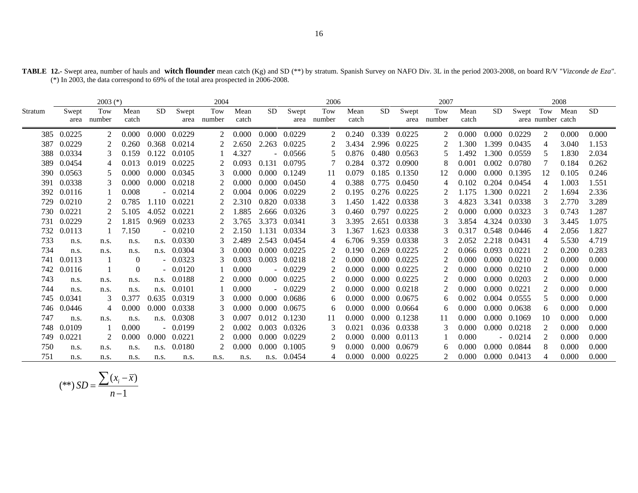| <b>TABLE 12.-</b> Swept area, number of hauls and <b>witch flounder</b> mean catch (Kg) and SD (**) by stratum. Spanish Survey on NAFO Div. 3L in the period 2003-2008, on board R/V "Vizconde de Eza". |  |  |  |
|---------------------------------------------------------------------------------------------------------------------------------------------------------------------------------------------------------|--|--|--|
| (*) In 2003, the data correspond to 69% of the total area prospected in 2006-2008.                                                                                                                      |  |  |  |

|         |        | $2003$ (*) |          |           |           | 2004   |       |           |           | 2006   |       |       |              | 2007   |       |           |              |                   | 2008  |           |
|---------|--------|------------|----------|-----------|-----------|--------|-------|-----------|-----------|--------|-------|-------|--------------|--------|-------|-----------|--------------|-------------------|-------|-----------|
| Stratum | Swept  | Tow        | Mean     | <b>SD</b> | Swept     | Tow    | Mean  | <b>SD</b> | Swept     | Tow    | Mean  | SD.   | Swept        | Tow    | Mean  | <b>SD</b> | Swept        | Tow               | Mean  | <b>SD</b> |
|         | area   | number     | catch    |           | area      | number | catch |           | area      | number | catch |       | area         | number | catch |           |              | area number catch |       |           |
| 385     | 0.0225 | 2          | 0.000    | 0.000     | 0.0229    | 2      | 0.000 | 0.000     | 0.0229    | 2      | 0.240 | 0.339 | 0.0225       | 2      | 0.000 | 0.000     | 0.0229       | $\mathfrak{D}$    | 0.000 | 0.000     |
| 387     | 0.0229 | 2          | 0.260    | 0.368     | 0.0214    | 2      | 2.650 | 2.263     | 0.0225    | 2      | 3.434 | 2.996 | 0.0225       | 2      | .300  | 1.399     | 0.0435       | 4                 | 3.040 | 1.153     |
| 388     | 0.0334 | 3          | 0.159    | 0.122     | 0.0105    |        | 4.327 |           | $-0.0566$ | 5      | 0.876 | 0.480 | 0.0563       | 5      | .492  | $.300 -$  | 0.0559       |                   | 1.830 | 2.034     |
| 389     | 0.0454 | 4          | 0.013    | 0.019     | 0.0225    |        | 0.093 | 0.131     | 0.0795    |        | 0.284 | 0.372 | 0.0900       | 8      | 0.001 | 0.002     | 0.0780       |                   | 0.184 | 0.262     |
| 390     | 0.0563 |            | 0.000    | 0.000     | 0.0345    | 3      | 0.000 | 0.000     | 0.1249    | 11     | 0.079 | 0.185 | 0.1350       | 12     | 0.000 | 0.000     | 0.1395       | 12                | 0.105 | 0.246     |
| 391     | 0.0338 | 3          | 0.000    | 0.000     | 0.0218    | 2      | 0.000 | 0.000     | 0.0450    |        | 0.388 | 0.775 | 0.0450       | 4      | 0.102 |           | 0.204 0.0454 | 4                 | 1.003 | 1.551     |
| 392     | 0.0116 |            | 0.008    |           | $-0.0214$ |        | 0.004 | 0.006     | 0.0229    |        | 0.195 | 0.276 | 0.0225       |        | 1.175 | 1.300     | 0.0221       |                   | 1.694 | 2.336     |
| 729     | 0.0210 |            | 0.785    | 1.110     | 0.0221    |        | 2.310 | 0.820     | 0.0338    | 3      | 1.450 | 1.422 | 0.0338       |        | 4.823 | 3.341     | 0.0338       |                   | 2.770 | 3.289     |
| 730     | 0.0221 | 2          | 5.105    | 4.052     | 0.0221    | 2      | 1.885 | 2.666     | 0.0326    | 3      | 0.460 | 0.797 | 0.0225       | 2      | 0.000 | 0.000     | 0.0323       | 3                 | 0.743 | 1.287     |
| 731     | 0.0229 | 2          | 1.815    | 0.969     | 0.0233    |        | 3.765 | 3.373     | 0.0341    |        | 3.395 | 2.651 | 0.0338       |        | 3.854 |           | 4.324 0.0330 |                   | 3.445 | 1.075     |
| 732     | 0.0113 |            | 7.150    |           | $-0.0210$ |        | 2.150 | 1.131     | 0.0334    | 3      | 1.367 | 1.623 | 0.0338       |        | 0.317 | 0.548     | 0.0446       | 4                 | 2.056 | 1.827     |
| 733     | n.s.   | n.s.       | n.s.     | n.s.      | 0.0330    | 3      | 2.489 | 2.543     | 0.0454    |        | 6.706 | 9.359 | 0.0338       |        | 2.052 | 2.218     | 0.0431       | 4                 | 5.530 | 4.719     |
| 734     | n.s.   | n.s.       | n.s.     | n.s.      | 0.0304    | 3      | 0.000 | 0.000     | 0.0225    | 2      | 0.190 | 0.269 | 0.0225       | 2      | 0.066 | 0.093     | 0.0221       | $\mathcal{D}$     | 0.200 | 0.283     |
| 741     | 0.0113 |            | $\theta$ |           | $-0.0323$ | 3      | 0.003 | 0.003     | 0.0218    |        | 0.000 | 0.000 | 0.0225       |        | 0.000 | 0.000     | 0.0210       |                   | 0.000 | 0.000     |
| 742     | 0.0116 |            | $\theta$ |           | 0.0120    |        | 0.000 |           | $-0.0229$ |        | 0.000 | 0.000 | 0.0225       | 2      | 0.000 | 0.000     | 0.0210       | 2                 | 0.000 | 0.000     |
| 743     | n.s.   | n.s.       | n.s.     | n.s.      | 0.0188    | 2      | 0.000 | 0.000     | 0.0225    | 2      | 0.000 | 0.000 | 0.0225       | 2      | 0.000 | 0.000     | 0.0203       | $\mathfrak{D}$    | 0.000 | 0.000     |
| 744     | n.s.   | n.s.       | n.s.     | n.s.      | 0.0101    |        | 0.000 |           | 0.0229    |        | 0.000 | 0.000 | 0.0218       |        | 0.000 | 0.000     | 0.0221       |                   | 0.000 | 0.000     |
| 745     | 0.0341 | 3          | 0.377    | 0.635     | 0.0319    | 3      | 0.000 | 0.000     | 0.0686    | 6      | 0.000 | 0.000 | 0.0675       | 6      | 0.002 | 0.004     | 0.0555       |                   | 0.000 | 0.000     |
| 746     | 0.0446 | 4          | 0.000    | 0.000     | 0.0338    | 3      | 0.000 | 0.000     | 0.0675    | 6      | 0.000 | 0.000 | 0.0664       | 6      | 0.000 | 0.000     | 0.0638       | 6                 | 0.000 | 0.000     |
| 747     | n.s.   | n.s.       | n.s.     | n.s.      | 0.0308    | 3      | 0.007 | 0.012     | 0.1230    | 11     | 0.000 | 0.000 | 0.1238       | 11     | 0.000 | 0.000     | 0.1069       | 10                | 0.000 | 0.000     |
| 748     | 0.0109 |            | 0.000    |           | $-0.0199$ |        | 0.002 | 0.003     | 0.0326    |        | 0.021 |       | 0.036 0.0338 |        | 0.000 | 0.000     | 0.0218       |                   | 0.000 | 0.000     |
| 749     | 0.0221 |            | 0.000    | 0.000     | 0.0221    | 2      | 0.000 | 0.000     | 0.0229    |        | 0.000 | 0.000 | 0.0113       |        | 0.000 |           | $-0.0214$    |                   | 0.000 | 0.000     |
| 750     | n.s.   | n.s.       | n.s.     | n.s.      | 0.0180    | 2      | 0.000 | 0.000     | 0.1005    | 9      | 0.000 | 0.000 | 0.0679       | 6      | 0.000 | 0.000     | 0.0844       | 8                 | 0.000 | 0.000     |
| 751     | n.s.   | n.s.       | n.s.     | n.s.      | n.s.      | n.s.   | n.s.  | n.s.      | 0.0454    |        | 0.000 |       | 0.000 0.0225 |        | 0.000 |           | 0.000 0.0413 |                   | 0.000 | 0.000     |

$$
(**) SD = \frac{\sum (x_i - \overline{x})}{n-1}
$$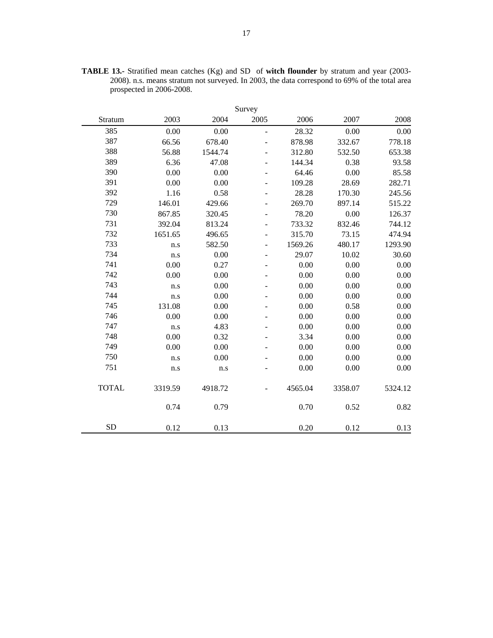| Survey       |         |         |                |         |         |         |  |  |  |  |  |  |  |
|--------------|---------|---------|----------------|---------|---------|---------|--|--|--|--|--|--|--|
| Stratum      | 2003    | 2004    | 2005           | 2006    | 2007    | 2008    |  |  |  |  |  |  |  |
| 385          | 0.00    | 0.00    | $\overline{a}$ | 28.32   | 0.00    | 0.00    |  |  |  |  |  |  |  |
| 387          | 66.56   | 678.40  |                | 878.98  | 332.67  | 778.18  |  |  |  |  |  |  |  |
| 388          | 56.88   | 1544.74 |                | 312.80  | 532.50  | 653.38  |  |  |  |  |  |  |  |
| 389          | 6.36    | 47.08   | -              | 144.34  | 0.38    | 93.58   |  |  |  |  |  |  |  |
| 390          | 0.00    | 0.00    |                | 64.46   | 0.00    | 85.58   |  |  |  |  |  |  |  |
| 391          | 0.00    | 0.00    |                | 109.28  | 28.69   | 282.71  |  |  |  |  |  |  |  |
| 392          | 1.16    | 0.58    | $\overline{a}$ | 28.28   | 170.30  | 245.56  |  |  |  |  |  |  |  |
| 729          | 146.01  | 429.66  | -              | 269.70  | 897.14  | 515.22  |  |  |  |  |  |  |  |
| 730          | 867.85  | 320.45  | -              | 78.20   | 0.00    | 126.37  |  |  |  |  |  |  |  |
| 731          | 392.04  | 813.24  | -              | 733.32  | 832.46  | 744.12  |  |  |  |  |  |  |  |
| 732          | 1651.65 | 496.65  |                | 315.70  | 73.15   | 474.94  |  |  |  |  |  |  |  |
| 733          | n.s     | 582.50  | $\overline{a}$ | 1569.26 | 480.17  | 1293.90 |  |  |  |  |  |  |  |
| 734          | n.s     | 0.00    | -              | 29.07   | 10.02   | 30.60   |  |  |  |  |  |  |  |
| 741          | 0.00    | 0.27    | $\overline{a}$ | 0.00    | 0.00    | 0.00    |  |  |  |  |  |  |  |
| 742          | 0.00    | 0.00    |                | 0.00    | 0.00    | 0.00    |  |  |  |  |  |  |  |
| 743          | n.s     | 0.00    |                | 0.00    | 0.00    | 0.00    |  |  |  |  |  |  |  |
| 744          | n.s     | 0.00    |                | 0.00    | 0.00    | 0.00    |  |  |  |  |  |  |  |
| 745          | 131.08  | 0.00    |                | 0.00    | 0.58    | 0.00    |  |  |  |  |  |  |  |
| 746          | 0.00    | 0.00    |                | 0.00    | 0.00    | 0.00    |  |  |  |  |  |  |  |
| 747          | n.s     | 4.83    | -              | 0.00    | 0.00    | 0.00    |  |  |  |  |  |  |  |
| 748          | 0.00    | 0.32    |                | 3.34    | 0.00    | 0.00    |  |  |  |  |  |  |  |
| 749          | 0.00    | 0.00    |                | 0.00    | 0.00    | 0.00    |  |  |  |  |  |  |  |
| 750          | n.s     | 0.00    |                | 0.00    | 0.00    | 0.00    |  |  |  |  |  |  |  |
| 751          | n.s     | n.s     |                | 0.00    | 0.00    | 0.00    |  |  |  |  |  |  |  |
| <b>TOTAL</b> | 3319.59 | 4918.72 |                | 4565.04 | 3358.07 | 5324.12 |  |  |  |  |  |  |  |
|              | 0.74    | 0.79    |                | 0.70    | 0.52    | 0.82    |  |  |  |  |  |  |  |
| <b>SD</b>    | 0.12    | 0.13    |                | 0.20    | 0.12    | 0.13    |  |  |  |  |  |  |  |

**TABLE 13.-** Stratified mean catches (Kg) and SD of **witch flounder** by stratum and year (2003- 2008). n.s. means stratum not surveyed. In 2003, the data correspond to 69% of the total area prospected in 2006-2008.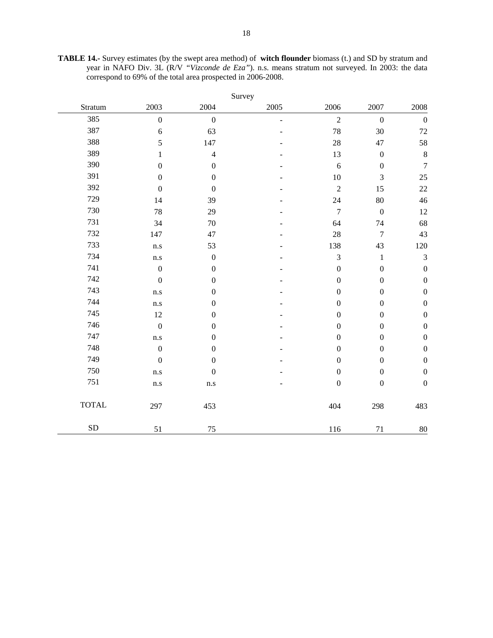**TABLE 14.-** Survey estimates (by the swept area method) of **witch flounder** biomass (t.) and SD by stratum and year in NAFO Div. 3L (R/V *"Vizconde de Eza"*). n.s. means stratum not surveyed. In 2003: the data correspond to 69% of the total area prospected in 2006-2008.

|              | Survey           |                  |      |                  |                  |                  |  |  |  |  |  |  |  |  |
|--------------|------------------|------------------|------|------------------|------------------|------------------|--|--|--|--|--|--|--|--|
| Stratum      | 2003             | 2004             | 2005 | 2006             | 2007             | 2008             |  |  |  |  |  |  |  |  |
| 385          | $\boldsymbol{0}$ | $\boldsymbol{0}$ | ÷,   | $\sqrt{2}$       | $\boldsymbol{0}$ | $\boldsymbol{0}$ |  |  |  |  |  |  |  |  |
| 387          | 6                | 63               |      | 78               | 30               | $72\,$           |  |  |  |  |  |  |  |  |
| 388          | 5                | 147              |      | 28               | 47               | 58               |  |  |  |  |  |  |  |  |
| 389          | $\mathbf{1}$     | $\overline{4}$   |      | 13               | $\boldsymbol{0}$ | $\,8\,$          |  |  |  |  |  |  |  |  |
| 390          | $\boldsymbol{0}$ | $\boldsymbol{0}$ |      | 6                | $\boldsymbol{0}$ | $\boldsymbol{7}$ |  |  |  |  |  |  |  |  |
| 391          | $\boldsymbol{0}$ | $\boldsymbol{0}$ |      | 10               | 3                | 25               |  |  |  |  |  |  |  |  |
| 392          | $\boldsymbol{0}$ | $\boldsymbol{0}$ |      | $\sqrt{2}$       | 15               | $22\,$           |  |  |  |  |  |  |  |  |
| 729          | 14               | 39               |      | 24               | 80               | 46               |  |  |  |  |  |  |  |  |
| 730          | 78               | 29               |      | $\tau$           | $\boldsymbol{0}$ | $12\,$           |  |  |  |  |  |  |  |  |
| 731          | 34               | $70\,$           |      | 64               | 74               | 68               |  |  |  |  |  |  |  |  |
| 732          | 147              | 47               |      | 28               | $\tau$           | 43               |  |  |  |  |  |  |  |  |
| 733          | n.s              | 53               |      | 138              | 43               | $120\,$          |  |  |  |  |  |  |  |  |
| 734          | n.s              | $\boldsymbol{0}$ |      | $\mathfrak{Z}$   | $\mathbf{1}$     | $\mathfrak{Z}$   |  |  |  |  |  |  |  |  |
| 741          | $\boldsymbol{0}$ | $\boldsymbol{0}$ |      | $\boldsymbol{0}$ | $\boldsymbol{0}$ | $\boldsymbol{0}$ |  |  |  |  |  |  |  |  |
| 742          | $\boldsymbol{0}$ | $\boldsymbol{0}$ |      | $\boldsymbol{0}$ | $\boldsymbol{0}$ | $\boldsymbol{0}$ |  |  |  |  |  |  |  |  |
| 743          | n.s              | $\boldsymbol{0}$ |      | $\boldsymbol{0}$ | $\boldsymbol{0}$ | $\boldsymbol{0}$ |  |  |  |  |  |  |  |  |
| 744          | n.s              | $\boldsymbol{0}$ |      | $\boldsymbol{0}$ | $\boldsymbol{0}$ | $\boldsymbol{0}$ |  |  |  |  |  |  |  |  |
| 745          | 12               | $\boldsymbol{0}$ |      | $\boldsymbol{0}$ | $\boldsymbol{0}$ | $\boldsymbol{0}$ |  |  |  |  |  |  |  |  |
| 746          | $\boldsymbol{0}$ | $\boldsymbol{0}$ |      | $\boldsymbol{0}$ | $\boldsymbol{0}$ | $\boldsymbol{0}$ |  |  |  |  |  |  |  |  |
| 747          | n.s              | $\boldsymbol{0}$ |      | $\boldsymbol{0}$ | $\boldsymbol{0}$ | $\boldsymbol{0}$ |  |  |  |  |  |  |  |  |
| 748          | $\boldsymbol{0}$ | $\boldsymbol{0}$ |      | $\boldsymbol{0}$ | $\boldsymbol{0}$ | $\boldsymbol{0}$ |  |  |  |  |  |  |  |  |
| 749          | $\boldsymbol{0}$ | $\boldsymbol{0}$ |      | $\boldsymbol{0}$ | $\boldsymbol{0}$ | $\boldsymbol{0}$ |  |  |  |  |  |  |  |  |
| 750          | n.s              | $\boldsymbol{0}$ |      | $\boldsymbol{0}$ | $\boldsymbol{0}$ | $\boldsymbol{0}$ |  |  |  |  |  |  |  |  |
| 751          | n.s              | $\rm n.s$        |      | $\boldsymbol{0}$ | $\boldsymbol{0}$ | $\boldsymbol{0}$ |  |  |  |  |  |  |  |  |
| <b>TOTAL</b> | 297              | 453              |      | 404              | 298              | 483              |  |  |  |  |  |  |  |  |
| ${\rm SD}$   | 51               | 75               |      | 116              | $71\,$           | 80               |  |  |  |  |  |  |  |  |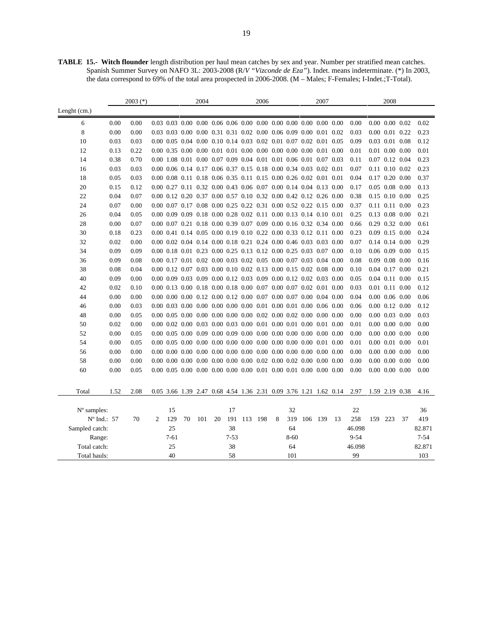**TABLE 15.- Witch flounder** length distribution per haul mean catches by sex and year. Number per stratified mean catches. Spanish Summer Survey on NAFO 3L: 2003-2008 (R/*V "Vizconde de Eza"*). Indet. means indeterminate. (\*) In 2003, the data correspond to 69% of the total area prospected in 2006-2008. (M – Males; F-Females; I-Indet.;T-Total).

|                              | $2003$ (*)           |      |                |                |    | 2004 |    |                |                                                                                                   | 2006 |   |                | 2007    |  |    | 2008               |     |                      |    |           |
|------------------------------|----------------------|------|----------------|----------------|----|------|----|----------------|---------------------------------------------------------------------------------------------------|------|---|----------------|---------|--|----|--------------------|-----|----------------------|----|-----------|
| Lenght (cm.)                 |                      |      |                |                |    |      |    |                |                                                                                                   |      |   |                |         |  |    |                    |     |                      |    |           |
| 6                            | 0.00                 | 0.00 |                |                |    |      |    |                | $0.03$ $0.03$ $0.00$ $0.00$ $0.06$ $0.06$ $0.00$ $0.00$ $0.00$ $0.00$ $0.00$ $0.00$ $0.00$ $0.00$ |      |   |                |         |  |    | 0.00               |     | $0.00\ 0.00\ 0.02$   |    | 0.02      |
| 8                            | 0.00                 | 0.00 |                |                |    |      |    |                | 0.03 0.03 0.00 0.00 0.31 0.31 0.02 0.00 0.06 0.09 0.00 0.01 0.02                                  |      |   |                |         |  |    | 0.03               |     | $0.00$ $0.01$ $0.22$ |    | 0.23      |
| 10                           | 0.03                 | 0.03 |                |                |    |      |    |                | 0.00 0.05 0.04 0.00 0.10 0.14 0.03 0.02 0.01 0.07 0.02 0.01 0.05                                  |      |   |                |         |  |    | 0.09               |     | $0.03$ $0.01$ $0.08$ |    | 0.12      |
| 12                           | 0.13                 | 0.22 |                |                |    |      |    |                |                                                                                                   |      |   |                |         |  |    | 0.01               |     | $0.01$ $0.00$ $0.00$ |    | 0.01      |
| 14                           | 0.38                 | 0.70 |                |                |    |      |    |                | 0.00 1.08 0.01 0.00 0.07 0.09 0.04 0.01 0.01 0.06 0.01 0.07 0.03                                  |      |   |                |         |  |    | 0.11               |     | $0.07$ $0.12$ $0.04$ |    | 0.23      |
| 16                           | 0.03                 | 0.03 |                |                |    |      |    |                | 0.00 0.06 0.14 0.17 0.06 0.37 0.15 0.18 0.00 0.34 0.03 0.02 0.01                                  |      |   |                |         |  |    | 0.07               |     | $0.11$ $0.10$ $0.02$ |    | 0.23      |
| 18                           | 0.05                 | 0.03 |                |                |    |      |    |                | 0.00 0.08 0.11 0.18 0.06 0.35 0.11 0.15 0.00 0.26 0.02 0.01 0.01                                  |      |   |                |         |  |    | 0.04               |     | $0.17$ $0.20$ $0.00$ |    | 0.37      |
| 20                           | 0.15                 | 0.12 |                |                |    |      |    |                | 0.00 0.27 0.11 0.32 0.00 0.43 0.06 0.07 0.00 0.14 0.04 0.13 0.00                                  |      |   |                |         |  |    | 0.17               |     | $0.05$ $0.08$ $0.00$ |    | 0.13      |
| 22                           | 0.04                 | 0.07 |                |                |    |      |    |                | 0.00 0.12 0.20 0.37 0.00 0.57 0.10 0.32 0.00 0.42 0.12 0.26 0.00                                  |      |   |                |         |  |    | 0.38               |     | $0.15$ 0.10 0.00     |    | 0.25      |
| 24                           | 0.07                 | 0.00 |                |                |    |      |    |                | 0.00 0.07 0.17 0.08 0.00 0.25 0.22 0.31 0.00 0.52 0.22 0.15 0.00                                  |      |   |                |         |  |    | 0.37               |     | $0.11$ $0.11$ $0.00$ |    | 0.23      |
| 26                           | 0.04                 | 0.05 |                |                |    |      |    |                | 0.00 0.09 0.09 0.18 0.00 0.28 0.02 0.11 0.00 0.13 0.14 0.10 0.01                                  |      |   |                |         |  |    | 0.25               |     | $0.13$ $0.08$ $0.00$ |    | 0.21      |
| 28                           | 0.00                 | 0.07 |                |                |    |      |    |                | 0.00 0.07 0.21 0.18 0.00 0.39 0.07 0.09 0.00 0.16 0.32 0.34 0.00                                  |      |   |                |         |  |    | 0.66               |     | 0.29 0.32 0.00       |    | 0.61      |
| 30                           | 0.18                 | 0.23 |                |                |    |      |    |                | 0.00 0.41 0.14 0.05 0.00 0.19 0.10 0.22 0.00 0.33 0.12 0.11 0.00                                  |      |   |                |         |  |    | 0.23               |     | $0.09$ 0.15 0.00     |    | 0.24      |
| 32                           | 0.02                 | 0.00 |                |                |    |      |    |                | 0.00 0.02 0.04 0.14 0.00 0.18 0.21 0.24 0.00 0.46 0.03 0.03 0.00                                  |      |   |                |         |  |    | 0.07               |     | $0.14$ $0.14$ $0.00$ |    | 0.29      |
| 34                           | 0.09                 | 0.09 |                |                |    |      |    |                | 0.00 0.18 0.01 0.23 0.00 0.25 0.13 0.12 0.00 0.25 0.03 0.07 0.00                                  |      |   |                |         |  |    | 0.10               |     | $0.06$ $0.09$ $0.00$ |    | 0.15      |
| 36                           | 0.09                 | 0.08 |                |                |    |      |    |                | 0.00 0.17 0.01 0.02 0.00 0.03 0.02 0.05 0.00 0.07 0.03 0.04 0.00                                  |      |   |                |         |  |    | 0.08               |     | $0.09$ $0.08$ $0.00$ |    | 0.16      |
| 38                           | 0.08                 | 0.04 |                |                |    |      |    |                | 0.00 0.12 0.07 0.03 0.00 0.10 0.02 0.13 0.00 0.15 0.02 0.08 0.00                                  |      |   |                |         |  |    | 0.10               |     | $0.04$ 0.17 0.00     |    | 0.21      |
| 40                           | 0.09                 | 0.00 |                |                |    |      |    |                | 0.00 0.09 0.03 0.09 0.00 0.12 0.03 0.09 0.00 0.12 0.02 0.03 0.00                                  |      |   |                |         |  |    | 0.05               |     | $0.04$ $0.11$ $0.00$ |    | 0.15      |
| 42                           | 0.02                 | 0.10 |                |                |    |      |    |                | 0.00 0.13 0.00 0.18 0.00 0.18 0.00 0.07 0.00 0.07 0.02 0.01 0.00                                  |      |   |                |         |  |    | 0.03               |     | $0.01$ $0.11$ $0.00$ |    | 0.12      |
| 44                           | 0.00                 | 0.00 |                |                |    |      |    |                | $0.00\ 0.00\ 0.00\ 0.12\ 0.00\ 0.12\ 0.00\ 0.07\ 0.00\ 0.07\ 0.00\ 0.04\ 0.00$                    |      |   |                |         |  |    | 0.04               |     | $0.00\ 0.06\ 0.00$   |    | 0.06      |
| 46                           | 0.00                 | 0.03 |                |                |    |      |    |                | $0.00\ 0.03\ 0.00\ 0.00\ 0.00\ 0.00\ 0.00\ 0.01\ 0.00\ 0.01\ 0.00\ 0.06\ 0.00$                    |      |   |                |         |  |    | 0.06               |     | $0.00$ $0.12$ $0.00$ |    | 0.12      |
| 48                           | 0.00                 | 0.05 |                |                |    |      |    |                | $0.00\ 0.05\ 0.00\ 0.00\ 0.00\ 0.00\ 0.00\ 0.02\ 0.00\ 0.02\ 0.00\ 0.00\ 0.00$                    |      |   |                |         |  |    | 0.00               |     | $0.00$ $0.03$ $0.00$ |    | 0.03      |
| 50                           | 0.02                 | 0.00 |                |                |    |      |    |                | $0.00\ 0.02\ 0.00\ 0.03\ 0.00\ 0.03\ 0.00\ 0.01\ 0.00\ 0.01\ 0.00\ 0.01\ 0.00$                    |      |   |                |         |  |    | 0.01               |     | $0.00\ 0.00\ 0.00$   |    | 0.00      |
| 52                           | 0.00                 | 0.05 |                |                |    |      |    |                |                                                                                                   |      |   |                |         |  |    | 0.00               |     | $0.00\ 0.00\ 0.00$   |    | 0.00      |
| 54                           | 0.00                 | 0.05 |                |                |    |      |    |                | $0.00\ 0.05\ 0.00\ 0.00\ 0.00\ 0.00\ 0.00\ 0.00\ 0.00\ 0.00\ 0.00\ 0.00\ 0.01\ 0.00$              |      |   |                |         |  |    | 0.01               |     | $0.00$ $0.01$ $0.00$ |    | 0.01      |
| 56                           | 0.00                 | 0.00 |                |                |    |      |    |                | $0.00\ 0.00\ 0.00\ 0.00\ 0.00\ 0.00\ 0.00\ 0.00\ 0.00\ 0.00\ 0.00\ 0.00\ 0.00\ 0.00$              |      |   |                |         |  |    | 0.00               |     | $0.00\ 0.00\ 0.00$   |    | 0.00      |
| 58                           | 0.00                 | 0.00 |                |                |    |      |    |                | $0.00\ 0.00\ 0.00\ 0.00\ 0.00\ 0.00\ 0.00\ 0.00\ 0.02\ 0.00\ 0.02\ 0.00\ 0.00\ 0.00$              |      |   |                |         |  |    | 0.00               |     | $0.00\ 0.00\ 0.00$   |    | 0.00      |
| 60                           | 0.00                 | 0.05 |                |                |    |      |    |                | $0.00\ 0.05\ 0.00\ 0.00\ 0.00\ 0.00\ 0.00\ 0.01\ 0.00\ 0.01\ 0.00\ 0.00\ 0.00$                    |      |   |                |         |  |    | 0.00               |     | $0.00\ 0.00\ 0.00$   |    | 0.00      |
| Total                        | 1.52                 | 2.08 |                |                |    |      |    |                | 0.05 3.66 1.39 2.47 0.68 4.54 1.36 2.31 0.09 3.76 1.21 1.62 0.14                                  |      |   |                |         |  |    | 2.97               |     | 1.59 2.19 0.38       |    | 4.16      |
|                              |                      |      |                |                |    |      |    |                |                                                                                                   |      |   |                |         |  |    |                    |     |                      |    |           |
| $No$ samples:                |                      | 70   |                | 15             |    |      |    | 17             |                                                                                                   |      |   | 32             |         |  |    | 22<br>258          |     |                      |    | 36<br>419 |
|                              | $N^{\circ}$ Ind.: 57 |      | $\overline{c}$ | 129<br>25      | 70 | 101  | 20 | 191<br>38      | 113                                                                                               | 198  | 8 | 319<br>64      | 106 139 |  | 13 |                    | 159 | 223                  | 37 | 82.871    |
| Sampled catch:               |                      |      |                |                |    |      |    |                |                                                                                                   |      |   |                |         |  |    | 46.098             |     |                      |    | $7 - 54$  |
| Range:                       |                      |      |                | $7 - 61$<br>25 |    |      |    | $7 - 53$<br>38 |                                                                                                   |      |   | $8 - 60$<br>64 |         |  |    | $9 - 54$<br>46.098 |     |                      |    | 82.871    |
| Total catch:<br>Total hauls: |                      |      |                | 40             |    |      |    | 58             |                                                                                                   |      |   | 101            |         |  |    | 99                 |     |                      |    | 103       |
|                              |                      |      |                |                |    |      |    |                |                                                                                                   |      |   |                |         |  |    |                    |     |                      |    |           |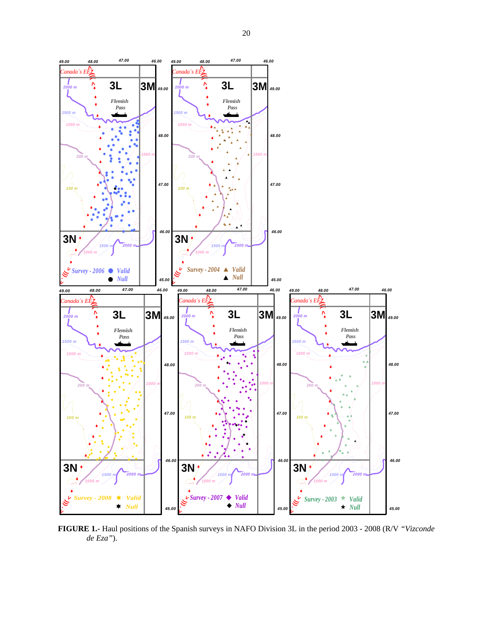

**FIGURE 1.-** Haul positions of the Spanish surveys in NAFO Division 3L in the period 2003 - 2008 (R/V *"Vizconde de Eza"*).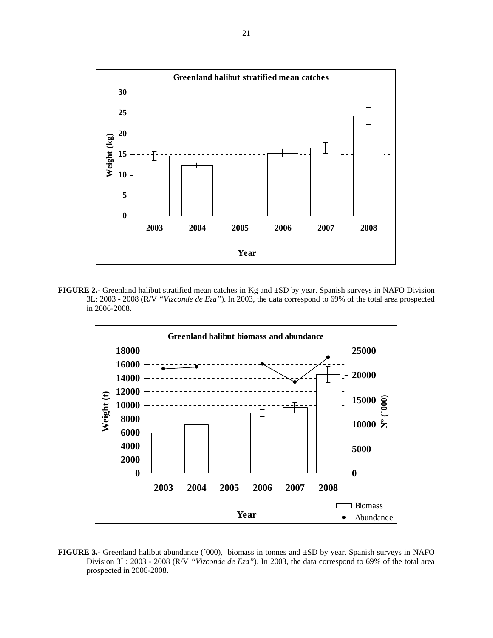

**FIGURE 2.-** Greenland halibut stratified mean catches in Kg and ±SD by year. Spanish surveys in NAFO Division 3L: 2003 - 2008 (R/V *"Vizconde de Eza"*). In 2003, the data correspond to 69% of the total area prospected in 2006-2008.



**FIGURE 3.-** Greenland halibut abundance (´000), biomass in tonnes and ±SD by year. Spanish surveys in NAFO Division 3L: 2003 - 2008 (R/V *"Vizconde de Eza"*). In 2003, the data correspond to 69% of the total area prospected in 2006-2008.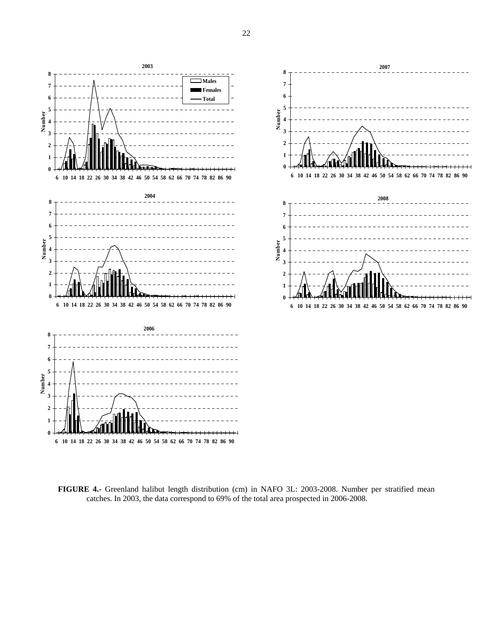

**FIGURE 4.-** Greenland halibut length distribution (cm) in NAFO 3L: 2003-2008. Number per stratified mean catches. In 2003, the data correspond to 69% of the total area prospected in 2006-2008.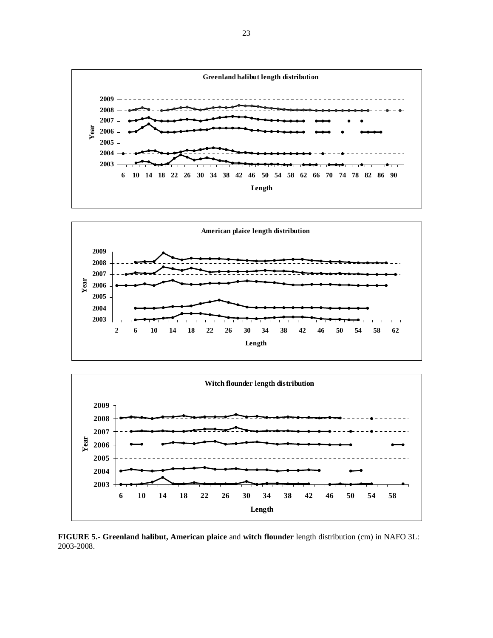





**FIGURE 5.- Greenland halibut, American plaice** and **witch flounder** length distribution (cm) in NAFO 3L: 2003-2008.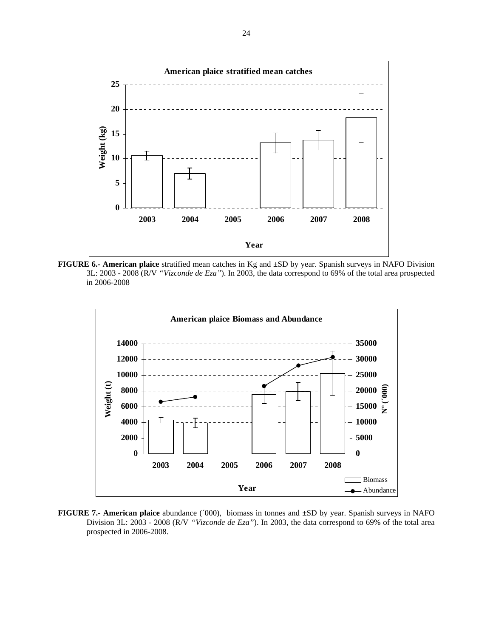

**FIGURE 6.- American plaice** stratified mean catches in Kg and ±SD by year. Spanish surveys in NAFO Division 3L: 2003 - 2008 (R/V *"Vizconde de Eza"*). In 2003, the data correspond to 69% of the total area prospected in 2006-2008



**FIGURE 7.- American plaice** abundance (´000), biomass in tonnes and ±SD by year. Spanish surveys in NAFO Division 3L: 2003 - 2008 (R/V *"Vizconde de Eza"*). In 2003, the data correspond to 69% of the total area prospected in 2006-2008.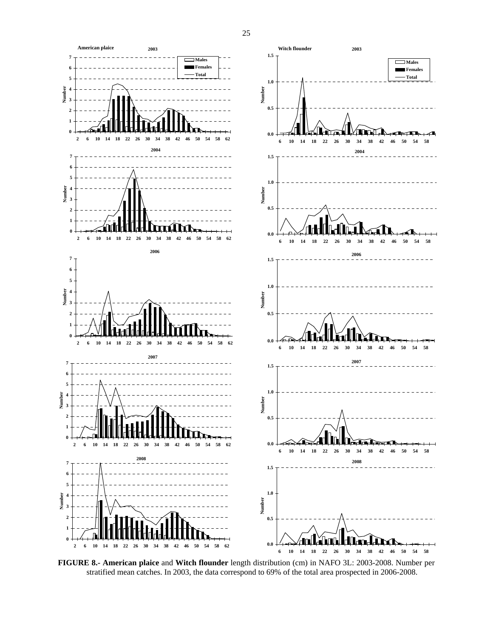

**FIGURE 8.- American plaice** and **Witch flounder** length distribution (cm) in NAFO 3L: 2003-2008. Number per stratified mean catches. In 2003, the data correspond to 69% of the total area prospected in 2006-2008.